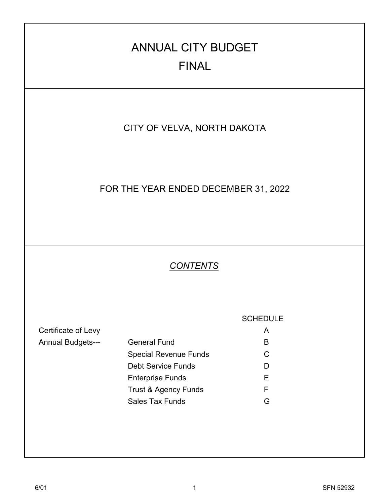# CITY OF VELVA, NORTH DAKOTA Certificate of Levy **A** Annual Budgets--- General Fund Bunder Contains B Special Revenue Funds **C** Debt Service Funds D Enterprise Funds E Trust & Agency Funds F Sales Tax Funds G *CONTENTS* **SCHEDULE** ANNUAL CITY BUDGET FINAL FOR THE YEAR ENDED DECEMBER 31, 2022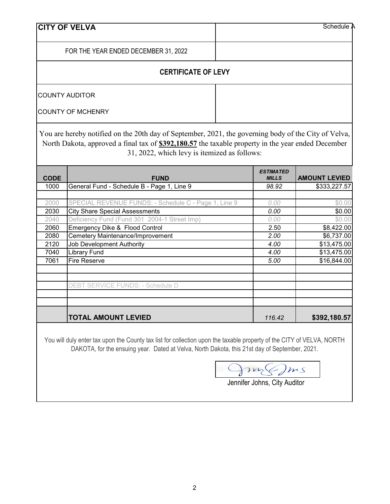| <b>CITY OF VELVA</b>                 | Schedule A |  |  |
|--------------------------------------|------------|--|--|
| FOR THE YEAR ENDED DECEMBER 31, 2022 |            |  |  |
| <b>CERTIFICATE OF LEVY</b>           |            |  |  |
| COUNTY AUDITOR                       |            |  |  |
| <b>COUNTY OF MCHENRY</b>             |            |  |  |

You are hereby notified on the 20th day of September, 2021, the governing body of the City of Velva, North Dakota, approved a final tax of **\$392,180.57** the taxable property in the year ended December 31, 2022, which levy is itemized as follows:

| <b>CODE</b> | <b>FUND</b>                                          | <b>ESTIMATED</b><br><b>MILLS</b> | <b>AMOUNT LEVIED</b> |
|-------------|------------------------------------------------------|----------------------------------|----------------------|
| 1000        | General Fund - Schedule B - Page 1, Line 9           | 98.92                            | \$333,227.57         |
|             |                                                      |                                  |                      |
| 2000        | SPECIAL REVENUE FUNDS: - Schedule C - Page 1, Line 9 | 0.00                             | \$0.00               |
| 2030        | <b>City Share Special Assessments</b>                | 0.00                             | \$0.00               |
| 2040        | Deficiency Fund (Fund 301 2004-1 Street Imp)         | 0.00                             | \$0.00               |
| 2060        | Emergency Dike & Flood Control                       | 2.50                             | \$8,422.00           |
| 2080        | Cemetery Maintenance/Improvement                     | 2.00                             | \$6,737.00           |
| 2120        | Job Development Authority                            | 4.00                             | \$13,475.00          |
| 7040        | <b>Library Fund</b>                                  | 4.00                             | \$13,475.00          |
| 7061        | <b>Fire Reserve</b>                                  | 5.00                             | \$16,844.00          |
|             |                                                      |                                  |                      |
|             |                                                      |                                  |                      |
|             | DEBT SERVICE FUNDS: - Schedule D                     |                                  |                      |
|             |                                                      |                                  |                      |
|             |                                                      |                                  |                      |
|             | <b>TOTAL AMOUNT LEVIED</b>                           | 116.42                           | \$392,180.57         |

You will duly enter tax upon the County tax list for collection upon the taxable property of the CITY of VELVA, NORTH DAKOTA, for the ensuing year. Dated at Velva, North Dakota, this 21st day of September, 2021.

fin (Jms

# Jennifer Johns, City Auditor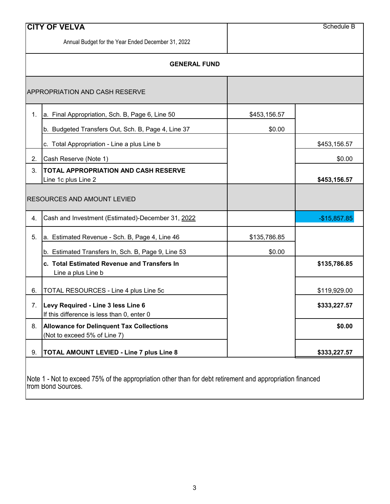|    | <b>CITY OF VELVA</b>                                                             |              | Schedule B    |
|----|----------------------------------------------------------------------------------|--------------|---------------|
|    | Annual Budget for the Year Ended December 31, 2022                               |              |               |
|    | <b>GENERAL FUND</b>                                                              |              |               |
|    | <b>APPROPRIATION AND CASH RESERVE</b>                                            |              |               |
| 1. | a. Final Appropriation, Sch. B, Page 6, Line 50                                  | \$453,156.57 |               |
|    | b. Budgeted Transfers Out, Sch. B, Page 4, Line 37                               | \$0.00       |               |
|    | c. Total Appropriation - Line a plus Line b                                      |              | \$453,156.57  |
| 2. | Cash Reserve (Note 1)                                                            |              | \$0.00        |
| 3. | <b>TOTAL APPROPRIATION AND CASH RESERVE</b><br>Line 1c plus Line 2               |              | \$453,156.57  |
|    |                                                                                  |              |               |
|    | <b>RESOURCES AND AMOUNT LEVIED</b>                                               |              |               |
| 4. | Cash and Investment (Estimated)-December 31, 2022                                |              | $-$15,857.85$ |
| 5. | a. Estimated Revenue - Sch. B, Page 4, Line 46                                   | \$135,786.85 |               |
|    | b. Estimated Transfers In, Sch. B, Page 9, Line 53                               | \$0.00       |               |
|    | c. Total Estimated Revenue and Transfers In<br>Line a plus Line b                |              | \$135,786.85  |
| 6. | TOTAL RESOURCES - Line 4 plus Line 5c                                            |              | \$119,929.00  |
| 7. | Levy Required - Line 3 less Line 6<br>If this difference is less than 0, enter 0 |              | \$333,227.57  |
| 8. | <b>Allowance for Delinquent Tax Collections</b><br>(Not to exceed 5% of Line 7)  |              | \$0.00        |

Note 1 - Not to exceed 75% of the appropriation other than for debt retirement and appropriation financed from Bond Sources.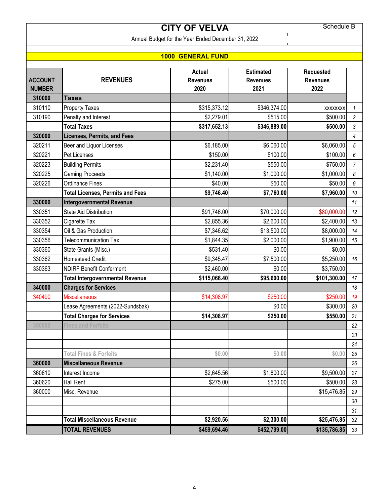Schedule B

 $\mathbf{I}$ 

# **CITY OF VELVA**

Annual Budget for the Year Ended December 31, 2022

### **1000 GENERAL FUND**

|                                 |                                         | <b>Actual</b>           | <b>Estimated</b>        | <b>Requested</b>        |                |
|---------------------------------|-----------------------------------------|-------------------------|-------------------------|-------------------------|----------------|
| <b>ACCOUNT</b><br><b>NUMBER</b> | <b>REVENUES</b>                         | <b>Revenues</b><br>2020 | <b>Revenues</b><br>2021 | <b>Revenues</b><br>2022 |                |
| 310000                          | <b>Taxes</b>                            |                         |                         |                         |                |
| 310110                          | <b>Property Taxes</b>                   | \$315,373.12            | \$346,374.00            | <b>XXXXXXXX</b>         | $\mathcal I$   |
| 310190                          | Penalty and Interest                    | \$2,279.01              | \$515.00                | \$500.00                | $\overline{c}$ |
|                                 | <b>Total Taxes</b>                      | \$317,652.13            | \$346,889.00            | \$500.00                | 3              |
| 320000                          | <b>Licenses, Permits, and Fees</b>      |                         |                         |                         | $\overline{4}$ |
| 320211                          | Beer and Liquor Licenses                | \$6,185.00              | \$6,060.00              | \$6,060.00              | 5              |
| 320221                          | Pet Licenses                            | \$150.00                | \$100.00                | \$100.00                | 6              |
| 320223                          | <b>Building Permits</b>                 | \$2,231.40              | \$550.00                | \$750.00                | $\overline{7}$ |
| 320225                          | <b>Gaming Proceeds</b>                  | \$1,140.00              | \$1,000.00              | \$1,000.00              | 8              |
| 320226                          | <b>Ordinance Fines</b>                  | \$40.00                 | \$50.00                 | \$50.00                 | 9              |
|                                 | <b>Total Licenses, Permits and Fees</b> | \$9,746.40              | \$7,760.00              | \$7,960.00              | 10             |
| 330000                          | <b>Intergovernmental Revenue</b>        |                         |                         |                         | 11             |
| 330351                          | <b>State Aid Distribution</b>           | \$91,746.00             | \$70,000.00             | \$80,000.00             | 12             |
| 330352                          | Cigarette Tax                           | \$2,855.36              | \$2,600.00              | \$2,400.00              | 13             |
| 330354                          | Oil & Gas Production                    | \$7,346.62              | \$13,500.00             | \$8,000.00              | 14             |
| 330356                          | <b>Telecommunication Tax</b>            | \$1,844.35              | \$2,000.00              | \$1,900.00              | 15             |
| 330360                          | State Grants (Misc.)                    | $-$531.40$              | \$0.00                  | \$0.00                  |                |
| 330362                          | <b>Homestead Credit</b>                 | \$9,345.47              | \$7,500.00              | \$5,250.00              | 16             |
| 330363                          | <b>NDIRF Benefit Conferment</b>         | \$2,460.00              | \$0.00                  | \$3,750.00              |                |
|                                 | <b>Total Intergovernmental Revenue</b>  | \$115,066.40            | \$95,600.00             | \$101,300.00            | 17             |
| 340000                          | <b>Charges for Services</b>             |                         |                         |                         | 18             |
| 340490                          | <b>Miscellaneous</b>                    | \$14,308.97             | \$250.00                | \$250.00                | 19             |
|                                 | Lease Agreements (2022-Sundsbak)        |                         | \$0.00                  | \$300.00                | 20             |
|                                 | <b>Total Charges for Services</b>       | \$14,308.97             | \$250.00                | \$550.00                | 21             |
| 350000                          | ines and Forfeits                       |                         |                         |                         | 22             |
|                                 |                                         |                         |                         |                         | 23             |
|                                 |                                         |                         |                         |                         | 24             |
|                                 | <b>Total Fines &amp; Forfeits</b>       | \$0.00                  | \$0.00                  | \$0.00                  | 25             |
| 360000                          | <b>Miscellaneous Revenue</b>            |                         |                         |                         | 26             |
| 360610                          | Interest Income                         | \$2,645.56              | \$1,800.00              | \$9,500.00              | 27             |
| 360620                          | Hall Rent                               | \$275.00                | \$500.00                | \$500.00                | 28             |
| 360000                          | Misc. Revenue                           |                         |                         | \$15,476.85             | 29             |
|                                 |                                         |                         |                         |                         | 30             |
|                                 |                                         |                         |                         |                         | 31             |
|                                 | <b>Total Miscellaneous Revenue</b>      | \$2,920.56              | \$2,300.00              | \$25,476.85             | 32             |
|                                 | <b>TOTAL REVENUES</b>                   | \$459,694.46            | \$452,799.00            | \$135,786.85            | 33             |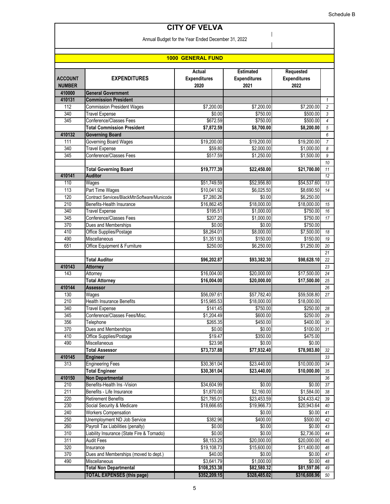$\overline{\phantom{a}}$  $\overline{\phantom{a}}$ 

# **CITY OF VELVA**

Annual Budget for the Year Ended December 31, 2022

| <b>1000 GENERAL FUND</b>        |                                                        |                                       |                                                 |                                          |                |  |
|---------------------------------|--------------------------------------------------------|---------------------------------------|-------------------------------------------------|------------------------------------------|----------------|--|
| <b>ACCOUNT</b><br><b>NUMBER</b> | <b>EXPENDITURES</b>                                    | Actual<br><b>Expenditures</b><br>2020 | <b>Estimated</b><br><b>Expenditures</b><br>2021 | Requested<br><b>Expenditures</b><br>2022 |                |  |
| 410000                          | <b>General Government</b>                              |                                       |                                                 |                                          |                |  |
| 410131                          | <b>Commission President</b>                            |                                       |                                                 |                                          | $\mathbf{1}$   |  |
| 112                             | <b>Commission President Wages</b>                      | \$7,200.00                            | \$7,200.00                                      | \$7,200.00                               | $\overline{c}$ |  |
| 340                             | <b>Travel Expense</b>                                  | \$0.00                                | \$750.00                                        | \$500.00                                 | 3              |  |
| 345                             | Conference/Classes Fees                                | \$672.59                              | \$750.00                                        | \$500.00                                 | $\overline{4}$ |  |
|                                 | <b>Total Commission President</b>                      | \$7,872.59                            | \$8,700.00                                      | \$8,200.00                               | 5              |  |
| 410132                          | <b>Governing Board</b>                                 |                                       |                                                 |                                          | 6              |  |
| 111                             | Governing Board Wages                                  | \$19,200.00                           | \$19,200.00                                     | \$19,200.00                              | 7              |  |
| 340                             | <b>Travel Expense</b>                                  | \$59.80                               | \$2,000.00                                      | \$1,000.00                               | 8              |  |
| 345                             | Conference/Classes Fees                                | \$517.59                              | \$1,250.00                                      | \$1,500.00                               | 9              |  |
|                                 |                                                        |                                       |                                                 |                                          | 10             |  |
|                                 | <b>Total Governing Board</b>                           | \$19,777.39                           | \$22,450.00                                     | \$21,700.00                              | 11             |  |
| 410141                          | <b>Auditor</b>                                         |                                       |                                                 |                                          | 12             |  |
| 110                             | Wages                                                  | \$51,749.59                           | \$52,956.80                                     | \$54,537.60                              | 13             |  |
| 113                             | Part Time Wages                                        | \$10,041.92                           | \$6,025.50                                      | \$8,690.50                               | 14             |  |
| 120                             | Contract Services/BlackMtnSoftware/Municode            | \$7,280.26                            | \$0.00                                          | \$6,250.00                               |                |  |
| 210                             | Benefits-Health Insurance                              | \$16,862.45                           | \$18,000.00                                     | \$18,000.00                              | 15             |  |
| 340                             | <b>Travel Expense</b>                                  | \$195.51                              | \$1,000.00                                      | \$750.00                                 | 16             |  |
| 345                             | Conference/Classes Fees                                | \$207.20                              | \$1,000.00                                      | \$750.00                                 | 17             |  |
| 370                             | Dues and Memberships                                   | \$0.00                                | \$0.00                                          | \$750.00                                 |                |  |
| 410                             | Office Supplies/Postage                                | \$8,264.01                            | \$8,000.00                                      | \$7,500.00                               | 18             |  |
| 490                             | <b>Miscellaneous</b>                                   | \$1,351.93                            | \$150.00                                        | \$150.00                                 | 19             |  |
| 651                             | Office Equipment & Furniture                           | \$250.00                              | \$6,250.00                                      | \$1,250.00                               | 20             |  |
|                                 |                                                        |                                       |                                                 |                                          | 21             |  |
|                                 | <b>Total Auditor</b>                                   | \$96,202.87                           | \$93,382.30                                     | \$98,628.10                              | 22             |  |
| 410143<br>143                   | <b>Attorney</b>                                        |                                       |                                                 |                                          | 23             |  |
|                                 | Attorney                                               | \$16,004.00                           | \$20,000.00                                     | \$17,500.00                              | 24             |  |
| 410144                          | <b>Total Attorney</b><br><b>Assessor</b>               | \$16,004.00                           | \$20,000.00                                     | \$17,500.00                              | 25<br>26       |  |
| 130                             | Wages                                                  | \$56,097.61                           | \$57,782.40                                     | \$59,508.80                              | 27             |  |
| 210                             | <b>Health Insurance Benefits</b>                       |                                       |                                                 |                                          |                |  |
| 340                             |                                                        | \$15,985.53                           | \$18,000.00                                     | \$18,000.00                              |                |  |
| 345                             | <b>Travel Expense</b><br>Conference/Classes Fees/Misc. | \$141.45<br>\$1,204.49                | \$750.00                                        | \$250.00<br>\$250.00                     | 28<br>29       |  |
| 356                             |                                                        | \$265.35                              | \$600.00                                        | \$400.00                                 | 30             |  |
| 370                             | Telephone<br>Dues and Memberships                      | \$0.00                                | \$450.00<br>\$0.00                              | \$100.00                                 | 31             |  |
| 410                             | Office Supplies/Postage                                | \$19.47                               | \$350.00                                        | \$475.00                                 |                |  |
| 490                             | Miscellaneous                                          | \$23.98                               |                                                 |                                          |                |  |
|                                 | <b>Total Assessor</b>                                  | \$73,737.88                           | \$0.00<br>\$77.932.40                           | \$0.00<br>\$78,983.80                    | 32             |  |
| 410145                          | <b>Engineer</b>                                        |                                       |                                                 |                                          | 33             |  |
| 313                             | <b>Engineering Fees</b>                                | \$30,361.04                           | \$23,440.00                                     | \$10,000.00                              | 34             |  |
|                                 | <b>Total Engineer</b>                                  | \$30,361.04                           | \$23,440.00                                     | \$10,000.00                              | 35             |  |
| 410150                          | Non Departmental                                       |                                       |                                                 |                                          | 36             |  |
| 210                             | Benefits-Health Ins -Vision                            | \$34,604.99                           | \$0.00                                          | \$0.00                                   | 37             |  |
| 211                             | Benefits - Life Insurance                              | \$1,870.00                            | \$2,160.00                                      | \$1,584.00                               | 38             |  |
| 220                             | <b>Retirement Benefits</b>                             | \$21,785.01                           | \$23,453.59                                     | \$24,433.42                              | 39             |  |
| 230                             | Social Security & Medicare                             | \$18,666.65                           | \$19,966.73                                     | \$20,943.64                              | 40             |  |
| 240                             | <b>Workers Compensation</b>                            |                                       | \$0.00                                          | \$0.00                                   | 41             |  |
| 250                             | Unemployment ND Job Service                            | \$382.96                              | \$400.00                                        | \$500.00                                 | 42             |  |
| 260                             | Payroll Tax Liabilities (penalty)                      | \$0.00                                | \$0.00                                          | \$0.00                                   | 43             |  |
| 310                             | Liability Insurance (State Fire & Tornado)             | \$0.00                                | \$0.00                                          | \$2,736.00                               | 44             |  |
| 311                             | <b>Audit Fees</b>                                      | \$8,153.25                            | \$20,000.00                                     | \$20,000.00                              | 45             |  |
| 320                             | Insurance                                              | \$19,108.73                           | \$15,600.00                                     | \$11,400.00                              | 46             |  |
| 370                             | Dues and Memberships (moved to dept.)                  | \$40.00                               | \$0.00                                          | \$0.00                                   | 47             |  |
| 490                             | Miscellaneous                                          | \$3,641.79                            | \$1,000.00                                      | \$0.00                                   | 48             |  |
|                                 | <b>Total Non Departmental</b>                          | \$108,253.38                          | \$82,580.32                                     | \$81,597.06                              | 49             |  |
|                                 | <b>TOTAL EXPENSES (this page)</b>                      | \$352,209.15                          | \$328,485.02                                    | \$316,608.96                             | 50             |  |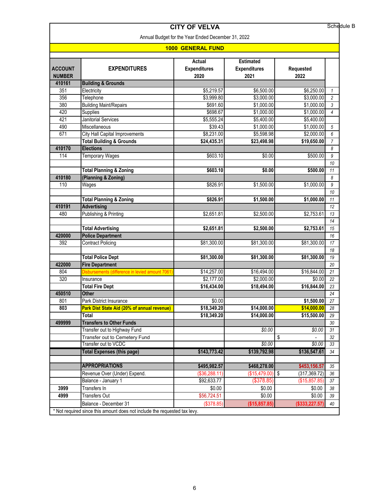|                                     |                                                                                                                                                                                                                                                                                                                                                                                                                                                                                                                                                                     |                                                                                                                                                                                                                                    |                                                                                                                                                                                                                                                | Schedule B                                                                                                                                                                                                                              |  |  |  |
|-------------------------------------|---------------------------------------------------------------------------------------------------------------------------------------------------------------------------------------------------------------------------------------------------------------------------------------------------------------------------------------------------------------------------------------------------------------------------------------------------------------------------------------------------------------------------------------------------------------------|------------------------------------------------------------------------------------------------------------------------------------------------------------------------------------------------------------------------------------|------------------------------------------------------------------------------------------------------------------------------------------------------------------------------------------------------------------------------------------------|-----------------------------------------------------------------------------------------------------------------------------------------------------------------------------------------------------------------------------------------|--|--|--|
|                                     |                                                                                                                                                                                                                                                                                                                                                                                                                                                                                                                                                                     |                                                                                                                                                                                                                                    |                                                                                                                                                                                                                                                |                                                                                                                                                                                                                                         |  |  |  |
| <b>1000 GENERAL FUND</b>            |                                                                                                                                                                                                                                                                                                                                                                                                                                                                                                                                                                     |                                                                                                                                                                                                                                    |                                                                                                                                                                                                                                                |                                                                                                                                                                                                                                         |  |  |  |
| <b>EXPENDITURES</b>                 | Actual<br><b>Expenditures</b><br>2020                                                                                                                                                                                                                                                                                                                                                                                                                                                                                                                               | <b>Estimated</b><br><b>Expenditures</b><br>2021                                                                                                                                                                                    | Requested<br>2022                                                                                                                                                                                                                              |                                                                                                                                                                                                                                         |  |  |  |
| <b>Building &amp; Grounds</b>       |                                                                                                                                                                                                                                                                                                                                                                                                                                                                                                                                                                     |                                                                                                                                                                                                                                    |                                                                                                                                                                                                                                                |                                                                                                                                                                                                                                         |  |  |  |
| Electricity                         | \$5,219.57                                                                                                                                                                                                                                                                                                                                                                                                                                                                                                                                                          | \$6,500.00                                                                                                                                                                                                                         | \$6,250.00                                                                                                                                                                                                                                     | 1                                                                                                                                                                                                                                       |  |  |  |
| Telephone                           | \$3,999.80                                                                                                                                                                                                                                                                                                                                                                                                                                                                                                                                                          | \$3,000.00                                                                                                                                                                                                                         | \$3,000.00                                                                                                                                                                                                                                     | $\overline{c}$                                                                                                                                                                                                                          |  |  |  |
| <b>Building Maint/Repairs</b>       | \$691.60                                                                                                                                                                                                                                                                                                                                                                                                                                                                                                                                                            | \$1,000.00                                                                                                                                                                                                                         | \$1,000.00                                                                                                                                                                                                                                     | 3                                                                                                                                                                                                                                       |  |  |  |
| Supplies                            | \$698.67                                                                                                                                                                                                                                                                                                                                                                                                                                                                                                                                                            | \$1,000.00                                                                                                                                                                                                                         | \$1,000.00                                                                                                                                                                                                                                     | $\overline{4}$                                                                                                                                                                                                                          |  |  |  |
| <b>Janitorial Services</b>          | \$5,555.24                                                                                                                                                                                                                                                                                                                                                                                                                                                                                                                                                          | \$5,400.00                                                                                                                                                                                                                         | \$5,400.00                                                                                                                                                                                                                                     |                                                                                                                                                                                                                                         |  |  |  |
| Miscellaneous                       | \$39.43                                                                                                                                                                                                                                                                                                                                                                                                                                                                                                                                                             | \$1,000.00                                                                                                                                                                                                                         | \$1,000.00                                                                                                                                                                                                                                     | 5                                                                                                                                                                                                                                       |  |  |  |
|                                     | \$8,231.00                                                                                                                                                                                                                                                                                                                                                                                                                                                                                                                                                          | \$5,598.98                                                                                                                                                                                                                         | \$2,000.00                                                                                                                                                                                                                                     | 6                                                                                                                                                                                                                                       |  |  |  |
| <b>Total Building &amp; Grounds</b> | \$24,435.31                                                                                                                                                                                                                                                                                                                                                                                                                                                                                                                                                         | \$23,498.98                                                                                                                                                                                                                        | \$19,650.00                                                                                                                                                                                                                                    | 7                                                                                                                                                                                                                                       |  |  |  |
| <b>Elections</b>                    |                                                                                                                                                                                                                                                                                                                                                                                                                                                                                                                                                                     |                                                                                                                                                                                                                                    |                                                                                                                                                                                                                                                | 8                                                                                                                                                                                                                                       |  |  |  |
| <b>Temporary Wages</b>              | \$603.10                                                                                                                                                                                                                                                                                                                                                                                                                                                                                                                                                            | \$0.00                                                                                                                                                                                                                             | \$500.00                                                                                                                                                                                                                                       | 9                                                                                                                                                                                                                                       |  |  |  |
|                                     |                                                                                                                                                                                                                                                                                                                                                                                                                                                                                                                                                                     |                                                                                                                                                                                                                                    |                                                                                                                                                                                                                                                | 10                                                                                                                                                                                                                                      |  |  |  |
| <b>Total Planning &amp; Zoning</b>  | \$603.10                                                                                                                                                                                                                                                                                                                                                                                                                                                                                                                                                            | \$0.00                                                                                                                                                                                                                             | \$500.00                                                                                                                                                                                                                                       | 11                                                                                                                                                                                                                                      |  |  |  |
| (Planning & Zoning)                 |                                                                                                                                                                                                                                                                                                                                                                                                                                                                                                                                                                     |                                                                                                                                                                                                                                    |                                                                                                                                                                                                                                                | 8                                                                                                                                                                                                                                       |  |  |  |
| Wages                               | \$826.91                                                                                                                                                                                                                                                                                                                                                                                                                                                                                                                                                            | \$1,500.00                                                                                                                                                                                                                         | \$1,000.00                                                                                                                                                                                                                                     | 9                                                                                                                                                                                                                                       |  |  |  |
|                                     |                                                                                                                                                                                                                                                                                                                                                                                                                                                                                                                                                                     |                                                                                                                                                                                                                                    |                                                                                                                                                                                                                                                | 10                                                                                                                                                                                                                                      |  |  |  |
| <b>Total Planning &amp; Zoning</b>  | \$826.91                                                                                                                                                                                                                                                                                                                                                                                                                                                                                                                                                            | \$1,500.00                                                                                                                                                                                                                         | \$1,000.00                                                                                                                                                                                                                                     | 11                                                                                                                                                                                                                                      |  |  |  |
| <b>Advertising</b>                  |                                                                                                                                                                                                                                                                                                                                                                                                                                                                                                                                                                     |                                                                                                                                                                                                                                    |                                                                                                                                                                                                                                                | 12                                                                                                                                                                                                                                      |  |  |  |
|                                     |                                                                                                                                                                                                                                                                                                                                                                                                                                                                                                                                                                     |                                                                                                                                                                                                                                    |                                                                                                                                                                                                                                                | 13                                                                                                                                                                                                                                      |  |  |  |
|                                     |                                                                                                                                                                                                                                                                                                                                                                                                                                                                                                                                                                     |                                                                                                                                                                                                                                    |                                                                                                                                                                                                                                                | 14                                                                                                                                                                                                                                      |  |  |  |
|                                     |                                                                                                                                                                                                                                                                                                                                                                                                                                                                                                                                                                     |                                                                                                                                                                                                                                    |                                                                                                                                                                                                                                                | 15                                                                                                                                                                                                                                      |  |  |  |
|                                     |                                                                                                                                                                                                                                                                                                                                                                                                                                                                                                                                                                     |                                                                                                                                                                                                                                    |                                                                                                                                                                                                                                                | 16                                                                                                                                                                                                                                      |  |  |  |
|                                     |                                                                                                                                                                                                                                                                                                                                                                                                                                                                                                                                                                     |                                                                                                                                                                                                                                    |                                                                                                                                                                                                                                                | 17                                                                                                                                                                                                                                      |  |  |  |
|                                     |                                                                                                                                                                                                                                                                                                                                                                                                                                                                                                                                                                     |                                                                                                                                                                                                                                    |                                                                                                                                                                                                                                                | 18                                                                                                                                                                                                                                      |  |  |  |
|                                     |                                                                                                                                                                                                                                                                                                                                                                                                                                                                                                                                                                     |                                                                                                                                                                                                                                    |                                                                                                                                                                                                                                                | 19                                                                                                                                                                                                                                      |  |  |  |
|                                     |                                                                                                                                                                                                                                                                                                                                                                                                                                                                                                                                                                     |                                                                                                                                                                                                                                    |                                                                                                                                                                                                                                                | 20                                                                                                                                                                                                                                      |  |  |  |
|                                     |                                                                                                                                                                                                                                                                                                                                                                                                                                                                                                                                                                     |                                                                                                                                                                                                                                    |                                                                                                                                                                                                                                                | 21                                                                                                                                                                                                                                      |  |  |  |
| Insurance                           |                                                                                                                                                                                                                                                                                                                                                                                                                                                                                                                                                                     |                                                                                                                                                                                                                                    | \$0.00                                                                                                                                                                                                                                         | 22                                                                                                                                                                                                                                      |  |  |  |
|                                     |                                                                                                                                                                                                                                                                                                                                                                                                                                                                                                                                                                     |                                                                                                                                                                                                                                    |                                                                                                                                                                                                                                                | 23                                                                                                                                                                                                                                      |  |  |  |
| Other                               |                                                                                                                                                                                                                                                                                                                                                                                                                                                                                                                                                                     |                                                                                                                                                                                                                                    |                                                                                                                                                                                                                                                | 24                                                                                                                                                                                                                                      |  |  |  |
|                                     |                                                                                                                                                                                                                                                                                                                                                                                                                                                                                                                                                                     |                                                                                                                                                                                                                                    |                                                                                                                                                                                                                                                | 27                                                                                                                                                                                                                                      |  |  |  |
|                                     |                                                                                                                                                                                                                                                                                                                                                                                                                                                                                                                                                                     |                                                                                                                                                                                                                                    |                                                                                                                                                                                                                                                | $\overline{28}$                                                                                                                                                                                                                         |  |  |  |
| Total                               |                                                                                                                                                                                                                                                                                                                                                                                                                                                                                                                                                                     |                                                                                                                                                                                                                                    |                                                                                                                                                                                                                                                | 29                                                                                                                                                                                                                                      |  |  |  |
|                                     |                                                                                                                                                                                                                                                                                                                                                                                                                                                                                                                                                                     |                                                                                                                                                                                                                                    |                                                                                                                                                                                                                                                | 30                                                                                                                                                                                                                                      |  |  |  |
|                                     |                                                                                                                                                                                                                                                                                                                                                                                                                                                                                                                                                                     |                                                                                                                                                                                                                                    |                                                                                                                                                                                                                                                | 31                                                                                                                                                                                                                                      |  |  |  |
|                                     |                                                                                                                                                                                                                                                                                                                                                                                                                                                                                                                                                                     |                                                                                                                                                                                                                                    |                                                                                                                                                                                                                                                | 32                                                                                                                                                                                                                                      |  |  |  |
| Transfer out to VCDC                |                                                                                                                                                                                                                                                                                                                                                                                                                                                                                                                                                                     | \$0.00                                                                                                                                                                                                                             | \$0.00                                                                                                                                                                                                                                         | 33                                                                                                                                                                                                                                      |  |  |  |
|                                     |                                                                                                                                                                                                                                                                                                                                                                                                                                                                                                                                                                     |                                                                                                                                                                                                                                    |                                                                                                                                                                                                                                                | 34                                                                                                                                                                                                                                      |  |  |  |
|                                     |                                                                                                                                                                                                                                                                                                                                                                                                                                                                                                                                                                     |                                                                                                                                                                                                                                    |                                                                                                                                                                                                                                                |                                                                                                                                                                                                                                         |  |  |  |
| <b>APPROPRIATIONS</b>               |                                                                                                                                                                                                                                                                                                                                                                                                                                                                                                                                                                     |                                                                                                                                                                                                                                    |                                                                                                                                                                                                                                                | 35                                                                                                                                                                                                                                      |  |  |  |
|                                     |                                                                                                                                                                                                                                                                                                                                                                                                                                                                                                                                                                     |                                                                                                                                                                                                                                    |                                                                                                                                                                                                                                                | 36                                                                                                                                                                                                                                      |  |  |  |
|                                     |                                                                                                                                                                                                                                                                                                                                                                                                                                                                                                                                                                     |                                                                                                                                                                                                                                    |                                                                                                                                                                                                                                                | 37                                                                                                                                                                                                                                      |  |  |  |
| Transfers In                        | \$0.00                                                                                                                                                                                                                                                                                                                                                                                                                                                                                                                                                              | \$0.00                                                                                                                                                                                                                             | \$0.00                                                                                                                                                                                                                                         | 38                                                                                                                                                                                                                                      |  |  |  |
|                                     |                                                                                                                                                                                                                                                                                                                                                                                                                                                                                                                                                                     |                                                                                                                                                                                                                                    |                                                                                                                                                                                                                                                |                                                                                                                                                                                                                                         |  |  |  |
| <b>Transfers Out</b>                | \$56,724.51                                                                                                                                                                                                                                                                                                                                                                                                                                                                                                                                                         | \$0.00                                                                                                                                                                                                                             | \$0.00                                                                                                                                                                                                                                         | 39                                                                                                                                                                                                                                      |  |  |  |
|                                     | City Hall Capital Improvements<br><b>Publishing &amp; Printing</b><br><b>Total Advertising</b><br><b>Police Department</b><br><b>Contract Policing</b><br><b>Total Police Dept</b><br><b>Fire Department</b><br>Disbursements (difference in levied amount 7061<br><b>Total Fire Dept</b><br>Park District Insurance<br>Park Dist State Aid (20% of annual revenue)<br><b>Transfers to Other Funds</b><br>Transfer out to Highway Fund<br>Transfer out to Cemetery Fund<br><b>Total Expenses (this page)</b><br>Revenue Over (Under) Expend.<br>Balance - January 1 | <b>CITY OF VELVA</b><br>\$2,651.81<br>\$2,651.81<br>\$81,300.00<br>\$81,300.00<br>\$14,257.00<br>\$2,177.00<br>\$16,434.00<br>\$0.00<br>\$18,349.20<br>\$18,349.20<br>\$143,773.42<br>\$495,982.57<br>(\$36,288.11)<br>\$92,633.77 | Annual Budget for the Year Ended December 31, 2022<br>\$2,500.00<br>\$2,500.00<br>\$81,300.00<br>\$81,300.00<br>\$16,494.00<br>\$2,000.00<br>\$18,494.00<br>\$14,000.00<br>\$14,000.00<br>\$0.00<br>\$139,792.98<br>\$468,278.00<br>(\$378.85) | \$2,753.61<br>\$2,753.61<br>\$81,300.00<br>\$81,300.00<br>\$16,844.00<br>\$16,844.00<br>\$1,500.00<br>\$14,000.00<br>\$15,500.00<br>\$0.00<br>\$<br>\$136,547.61<br>\$453,156.57<br>$($15,479.00)$ \$<br>(317, 369.72)<br>(\$15,857.85) |  |  |  |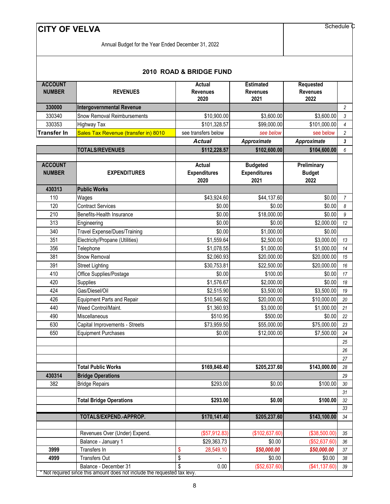Schedule C

Annual Budget for the Year Ended December 31, 2022

| <b>ACCOUNT</b><br><b>NUMBER</b> | <b>REVENUES</b>                                                         | <b>Actual</b><br><b>Revenues</b><br>2020     | <b>Estimated</b><br><b>Revenues</b><br>2021    | <b>Requested</b><br><b>Revenues</b><br>2022 |                       |
|---------------------------------|-------------------------------------------------------------------------|----------------------------------------------|------------------------------------------------|---------------------------------------------|-----------------------|
| 330000                          | <b>Intergovernmental Revenue</b>                                        |                                              |                                                |                                             | $\overline{c}$        |
| 330340                          | Snow Removal Reimbursements                                             | \$10,900.00                                  | \$3,600.00                                     | \$3,600.00                                  | 3                     |
| 330353                          | <b>Highway Tax</b>                                                      | \$101,328.57                                 | \$99,000.00                                    | \$101,000.00                                | $\overline{4}$        |
| <b>Transfer In</b>              | Sales Tax Revenue (transfer in) 8010                                    | see transfers below                          | see below                                      | see below                                   | $\overline{c}$        |
|                                 |                                                                         | <b>Actual</b>                                | Approximate                                    | Approximate                                 | 3                     |
|                                 | <b>TOTALS/REVENUES</b>                                                  | \$112,228.57                                 | \$102,600.00                                   | \$104,600.00                                | 6                     |
| <b>ACCOUNT</b><br><b>NUMBER</b> | <b>EXPENDITURES</b>                                                     | <b>Actual</b><br><b>Expenditures</b><br>2020 | <b>Budgeted</b><br><b>Expenditures</b><br>2021 | Preliminary<br><b>Budget</b><br>2022        |                       |
| 430313                          | <b>Public Works</b>                                                     |                                              |                                                |                                             |                       |
| 110                             | Wages                                                                   | \$43,924.60                                  | \$44,137.60                                    | \$0.00                                      | $\overline{7}$        |
| 120                             | <b>Contract Services</b>                                                | \$0.00                                       | \$0.00                                         | \$0.00                                      | $\boldsymbol{\delta}$ |
| 210                             | Benefits-Health Insurance                                               | \$0.00                                       | \$18,000.00                                    | \$0.00                                      | 9                     |
| 313                             | Engineering                                                             | \$0.00                                       | \$0.00                                         | \$2,000.00                                  | 12                    |
| 340                             | <b>Travel Expense/Dues/Training</b>                                     | \$0.00                                       | \$1,000.00                                     | \$0.00                                      |                       |
| 351                             | Electricity/Propane (Utilities)                                         | \$1,559.64                                   | \$2,500.00                                     | \$3,000.00                                  | 13                    |
| 356                             | Telephone                                                               | \$1,078.55                                   | \$1,000.00                                     | \$1,000.00                                  | 14                    |
| 381                             | Snow Removal                                                            | \$2,060.93                                   | \$20,000.00                                    | \$20,000.00                                 | 15                    |
| 391                             | <b>Street Lighting</b>                                                  | \$30,753.81                                  | \$22,500.00                                    | \$20,000.00                                 | 16                    |
| 410                             | Office Supplies/Postage                                                 | \$0.00                                       | \$100.00                                       | \$0.00                                      | 17                    |
| 420                             | Supplies                                                                | \$1,576.67                                   | \$2,000.00                                     | \$0.00                                      | 18                    |
| 424                             | Gas/Diesel/Oil                                                          | \$2,515.90                                   | \$3,500.00                                     | \$3,500.00                                  | 19                    |
| 426                             | <b>Equipment Parts and Repair</b>                                       | \$10,546.92                                  | \$20,000.00                                    | \$10,000.00                                 | 20                    |
| 440                             | Weed Control/Maint.                                                     | \$1,360.93                                   | \$3,000.00                                     | \$1,000.00                                  | 21                    |
| 490                             | Miscellaneous                                                           | \$510.95                                     | \$500.00                                       | \$0.00                                      | 22                    |
| 630                             | Capital Improvements - Streets                                          | \$73,959.50                                  | \$55,000.00                                    | \$75,000.00                                 | 23                    |
| 650                             | <b>Equipment Purchases</b>                                              | \$0.00                                       | \$12,000.00                                    | \$7,500.00                                  | 24                    |
|                                 |                                                                         |                                              |                                                |                                             | 25                    |
|                                 |                                                                         |                                              |                                                |                                             | 26                    |
|                                 |                                                                         |                                              |                                                |                                             | 27                    |
|                                 | <b>Total Public Works</b>                                               | \$169,848.40                                 | \$205,237.60                                   | \$143,000.00                                | 28                    |
| 430314                          | <b>Bridge Operations</b>                                                |                                              |                                                |                                             | 29                    |
| 382                             | <b>Bridge Repairs</b>                                                   | \$293.00                                     | \$0.00                                         | \$100.00                                    | $30\,$                |
|                                 |                                                                         |                                              |                                                |                                             | 31                    |
|                                 | <b>Total Bridge Operations</b>                                          | \$293.00                                     | \$0.00                                         | \$100.00                                    | 32                    |
|                                 | TOTALS/EXPEND.-APPROP.                                                  |                                              |                                                |                                             | 33                    |
|                                 |                                                                         | \$170,141.40                                 | \$205,237.60                                   | \$143,100.00                                | 34                    |
|                                 | Revenues Over (Under) Expend.                                           | (\$57,912.83)                                | (\$102,637.60)                                 | (\$38,500.00)                               | $35\,$                |
|                                 | Balance - January 1                                                     | \$29,363.73                                  | \$0.00                                         | (\$52,637.60)                               | 36                    |
| 3999                            | Transfers In                                                            | \$<br>28,549.10                              | \$50,000.00                                    | \$50,000.00                                 | $37\,$                |
| 4999                            | Transfers Out                                                           | \$                                           | \$0.00                                         | \$0.00                                      | $38\,$                |
|                                 | Balance - December 31                                                   | \$<br>0.00                                   | (\$52,637.60)                                  | (\$41,137.60)                               | 39                    |
|                                 | Not required since this amount does not include the requested tax levy. |                                              |                                                |                                             |                       |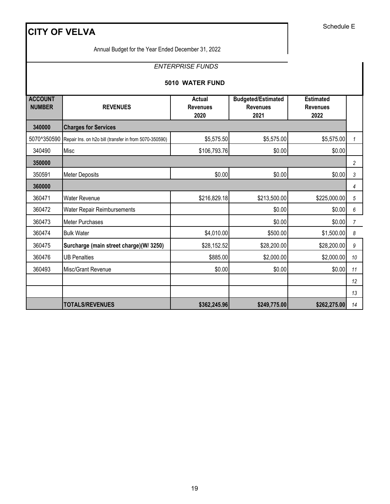Annual Budget for the Year Ended December 31, 2022

# *ENTERPRISE FUNDS*

### **5010 WATER FUND**

| <b>ACCOUNT</b><br><b>NUMBER</b> | <b>REVENUES</b>                                        | Actual<br><b>Revenues</b> | <b>Budgeted/Estimated</b><br><b>Revenues</b> | <b>Estimated</b><br><b>Revenues</b> |                |
|---------------------------------|--------------------------------------------------------|---------------------------|----------------------------------------------|-------------------------------------|----------------|
|                                 |                                                        | 2020                      | 2021                                         | 2022                                |                |
| 340000                          | <b>Charges for Services</b>                            |                           |                                              |                                     |                |
| 5070^350590                     | Repair Ins. on h2o bill (transfer in from 5070-350590) | \$5,575.50                | \$5,575.00                                   | \$5,575.00                          | 1              |
| 340490                          | Misc                                                   | \$106,793.76              | \$0.00                                       | \$0.00                              |                |
| 350000                          |                                                        |                           |                                              |                                     | $\overline{c}$ |
| 350591                          | <b>Meter Deposits</b>                                  | \$0.00                    | \$0.00                                       | \$0.00                              | 3              |
| 360000                          |                                                        |                           |                                              |                                     | 4              |
| 360471                          | <b>Water Revenue</b>                                   | \$216,829.18              | \$213,500.00                                 | \$225,000.00                        | 5              |
| 360472                          | Water Repair Reimbursements                            |                           | \$0.00                                       | \$0.00                              | 6              |
| 360473                          | Meter Purchases                                        |                           | \$0.00                                       | \$0.00                              | $\overline{7}$ |
| 360474                          | <b>Bulk Water</b>                                      | \$4,010.00                | \$500.00                                     | \$1,500.00                          | 8              |
| 360475                          | Surcharge (main street charge)(W/ 3250)                | \$28,152.52               | \$28,200.00                                  | \$28,200.00                         | 9              |
| 360476                          | <b>UB Penalties</b>                                    | \$885.00                  | \$2,000.00                                   | \$2,000.00                          | 10             |
| 360493                          | <b>Misc/Grant Revenue</b>                              | \$0.00                    | \$0.00                                       | \$0.00                              | 11             |
|                                 |                                                        |                           |                                              |                                     | 12             |
|                                 |                                                        |                           |                                              |                                     | 13             |
|                                 | <b>TOTALS/REVENUES</b>                                 | \$362,245.96              | \$249,775.00                                 | \$262,275.00                        | 14             |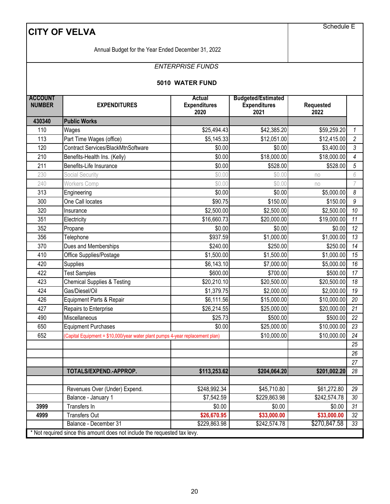|                                 | <b>CITY OF VELVA</b>                                                          |                                              |                                                          | Schedule E                  |                |
|---------------------------------|-------------------------------------------------------------------------------|----------------------------------------------|----------------------------------------------------------|-----------------------------|----------------|
|                                 | Annual Budget for the Year Ended December 31, 2022                            |                                              |                                                          |                             |                |
|                                 |                                                                               | <b>ENTERPRISE FUNDS</b>                      |                                                          |                             |                |
|                                 |                                                                               | 5010 WATER FUND                              |                                                          |                             |                |
| <b>ACCOUNT</b><br><b>NUMBER</b> | <b>EXPENDITURES</b>                                                           | <b>Actual</b><br><b>Expenditures</b><br>2020 | <b>Budgeted/Estimated</b><br><b>Expenditures</b><br>2021 | <b>Requested</b><br>2022    |                |
| 430340                          | <b>Public Works</b>                                                           |                                              |                                                          |                             |                |
| 110                             | Wages                                                                         | \$25,494.43                                  | \$42,385.20                                              | \$59,259.20                 | $\mathcal{I}$  |
| 113                             | Part Time Wages (office)                                                      | \$5,145.33                                   | \$12,051.00                                              | \$12,415.00                 | $\overline{2}$ |
| 120                             | Contract Services/BlackMtnSoftware                                            | \$0.00                                       | \$0.00                                                   | \$3,400.00                  | $\mathfrak{Z}$ |
| 210                             | Benefits-Health Ins. (Kelly)                                                  | \$0.00                                       | \$18,000.00                                              | \$18,000.00                 | 4              |
| 211                             | Benefits-Life Insurance                                                       | \$0.00                                       | \$528.00                                                 | \$528.00                    | 5              |
| 230                             | Social Security                                                               | \$0.00                                       | \$0.00                                                   | no                          | 6              |
| 240                             | <b>Workers Comp</b>                                                           | \$0.00                                       | \$0.00                                                   | no                          | 7              |
| 313                             | Engineering                                                                   | \$0.00                                       | \$0.00                                                   | \$5,000.00                  | 8              |
| 300                             | One Call locates                                                              | \$90.75                                      | \$150.00                                                 | \$150.00                    | 9              |
| 320                             | Insurance                                                                     | \$2,500.00                                   | \$2,500.00                                               | \$2,500.00                  | 10             |
| 351                             | Electricity                                                                   | \$16,660.73                                  | \$20,000.00                                              | \$19,000.00                 | 11             |
| 352                             | Propane                                                                       | \$0.00                                       | \$0.00                                                   | \$0.00                      | 12             |
| 356                             | Telephone                                                                     | \$937.59                                     | \$1,000.00                                               | \$1,000.00                  | 13             |
| 370                             | Dues and Memberships                                                          | \$240.00                                     | \$250.00                                                 | \$250.00                    | 14             |
| 410                             | Office Supplies/Postage                                                       | \$1,500.00                                   | \$1,500.00                                               | \$1,000.00                  | 15             |
| 420                             | Supplies                                                                      | \$6,143.10                                   | \$7,000.00                                               | \$5,000.00                  | 16             |
| 422                             | <b>Test Samples</b>                                                           | \$600.00                                     | \$700.00                                                 | \$500.00                    | 17             |
| 423                             | <b>Chemical Supplies &amp; Testing</b>                                        | \$20,210.10                                  | \$20,500.00                                              | \$20,500.00                 | 18             |
| 424                             | Gas/Diesel/Oil                                                                | \$1,379.75                                   | \$2,000.00                                               | \$2,000.00                  | 19             |
| 426                             | Equipment Parts & Repair                                                      | \$6,111.56                                   | \$15,000.00                                              | \$10,000.00                 | 20             |
| 427                             | Repairs to Enterprise                                                         | \$26,214.55                                  | \$25,000.00                                              | \$20,000.00                 | 21             |
| 490                             | Miscellaneous                                                                 | \$25.73                                      | \$500.00                                                 | \$500.00                    | 22             |
| 650                             | <b>Equipment Purchases</b>                                                    | \$0.00                                       | \$25,000.00                                              | \$10,000.00                 | 23             |
| 652                             | (Capital Equipment = \$10,000/year water plant pumps 4-year replacement plan) |                                              | \$10,000.00                                              | \$10,000.00                 | 24             |
|                                 |                                                                               |                                              |                                                          |                             | 25             |
|                                 |                                                                               |                                              |                                                          |                             | 26             |
|                                 |                                                                               |                                              |                                                          |                             | 27             |
|                                 | TOTALS/EXPEND.-APPROP.                                                        | \$113,253.62                                 | \$204,064.20                                             | \$201,002.20                | 28             |
|                                 |                                                                               |                                              |                                                          |                             |                |
|                                 | Revenues Over (Under) Expend.<br>Balance - January 1                          | \$248,992.34<br>\$7,542.59                   | \$45,710.80<br>\$229,863.98                              | \$61,272.80<br>\$242,574.78 | 29<br>30       |
| 3999                            | Transfers In                                                                  | \$0.00                                       | \$0.00                                                   | \$0.00                      | 31             |
| 4999                            | <b>Transfers Out</b>                                                          | \$26,670.95                                  | \$33,000.00                                              | \$33,000.00                 | 32             |
|                                 | Balance - December 31                                                         | \$229,863.98                                 | \$242,574.78                                             | \$270,847.58                | 33             |
|                                 | * Not required since this amount does not include the requested tax levy.     |                                              |                                                          |                             |                |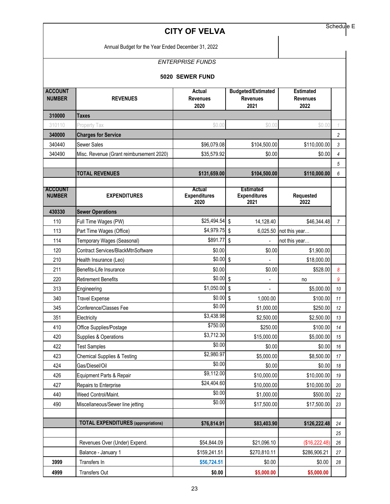Annual Budget for the Year Ended December 31, 2022

# *ENTERPRISE FUNDS*

|  | 5020 SEWER FUND |  |
|--|-----------------|--|
|--|-----------------|--|

| <b>ACCOUNT</b><br><b>NUMBER</b> | <b>REVENUES</b>                            | <b>Actual</b><br><b>Revenues</b><br>2020 | <b>Budgeted/Estimated</b><br><b>Revenues</b><br>2021 | <b>Estimated</b><br><b>Revenues</b><br>2022 |                |
|---------------------------------|--------------------------------------------|------------------------------------------|------------------------------------------------------|---------------------------------------------|----------------|
| 310000                          | <b>Taxes</b>                               |                                          |                                                      |                                             |                |
| 310110                          | Property Tax                               | \$0.00                                   | \$0.00                                               | \$0.00                                      | 1              |
| 340000                          | <b>Charges for Service</b>                 |                                          |                                                      |                                             | $\overline{c}$ |
| 340440                          | <b>Sewer Sales</b>                         | \$96,079.08                              | \$104,500.00                                         | \$110,000.00                                | $\mathfrak{Z}$ |
| 340490                          | Misc. Revenue (Grant reimbursement 2020)   | \$35,579.92                              | \$0.00                                               | \$0.00                                      | $\overline{4}$ |
|                                 |                                            |                                          |                                                      |                                             | $\sqrt{5}$     |
|                                 | <b>TOTAL REVENUES</b>                      | \$131,659.00                             | \$104,500.00                                         | \$110,000.00                                | 6              |
| <b>ACCOUNT</b><br><b>NUMBER</b> | <b>EXPENDITURES</b>                        | Actual<br><b>Expenditures</b><br>2020    | <b>Estimated</b><br><b>Expenditures</b><br>2021      | Requested<br>2022                           |                |
| 430330                          | <b>Sewer Operations</b>                    |                                          |                                                      |                                             |                |
| 110                             | Full Time Wages (PW)                       | \$25,494.54                              | $\sqrt{2}$<br>14,128.40                              | \$46,344.48                                 | 7              |
| 113                             | Part Time Wages (Office)                   | \$4,979.75                               | $\sqrt{2}$<br>6,025.50                               | not this year                               |                |
| 114                             | Temporary Wages (Seasonal)                 | \$891.77                                 | $\sqrt[6]{\frac{1}{2}}$                              | not this year                               |                |
| 120                             | Contract Services/BlackMtnSoftware         | \$0.00                                   | \$0.00                                               | \$1,900.00                                  |                |
| 210                             | Health Insurance (Leo)                     | \$0.00                                   | $\sqrt{2}$                                           | \$18,000.00                                 |                |
| 211                             | Benefits-Life Insurance                    | \$0.00                                   | \$0.00                                               | \$528.00                                    | 8              |
| 220                             | <b>Retirement Benefits</b>                 | \$0.00                                   | $\sqrt{2}$                                           | no                                          | 9              |
| 313                             | Engineering                                | \$1,050.00                               | $\sqrt[6]{\frac{1}{2}}$                              | \$5,000.00                                  | 10             |
| 340                             | <b>Travel Expense</b>                      | \$0.00S                                  | 1,000.00                                             | \$100.00                                    | 11             |
| 345                             | Conference/Classes Fee                     | \$0.00                                   | \$1,000.00                                           | \$250.00                                    | 12             |
| 351                             | Electricity                                | \$3,438.98                               | \$2,500.00                                           | \$2,500.00                                  | 13             |
| 410                             | Office Supplies/Postage                    | \$750.00                                 | \$250.00                                             | \$100.00                                    | 14             |
| 420                             | Supplies & Operations                      | \$3,712.30                               | \$15,000.00                                          | \$5,000.00                                  | 15             |
| 422                             | <b>Test Samples</b>                        | \$0.00                                   | \$0.00                                               | \$0.00                                      | 16             |
| 423                             | <b>Chemical Supplies &amp; Testing</b>     | \$2,980.97                               | \$5,000.00                                           | \$8,500.00                                  | 17             |
| 424                             | Gas/Diesel/Oil                             | \$0.00                                   | \$0.00                                               | \$0.00                                      | 18             |
| 426                             | Equipment Parts & Repair                   | \$9,112.00                               | \$10,000.00                                          | \$10,000.00                                 | 19             |
| 427                             | Repairs to Enterprise                      | \$24,404.60                              | \$10,000.00                                          | \$10,000.00                                 | $20\,$         |
| 440                             | Weed Control/Maint.                        | \$0.00                                   | \$1,000.00                                           | \$500.00                                    | 22             |
| 490                             | Miscellaneous/Sewer line jetting           | \$0.00                                   | \$17,500.00                                          | \$17,500.00                                 | 23             |
|                                 |                                            |                                          |                                                      |                                             |                |
|                                 | <b>TOTAL EXPENDITURES</b> (appropriations) | \$76,814.91                              | \$83,403.90                                          | \$126,222.48                                | 24             |
|                                 |                                            |                                          |                                                      |                                             | 25             |
|                                 | Revenues Over (Under) Expend.              | \$54,844.09                              | \$21,096.10                                          | (\$16,222.48)                               | 26             |
|                                 | Balance - January 1                        | \$159,241.51                             | \$270,810.11                                         | \$286,906.21                                | 27             |
| 3999                            | Transfers In                               | \$56,724.51                              | \$0.00                                               | \$0.00                                      | 28             |
| 4999                            | Transfers Out                              | \$0.00                                   | \$5,000.00                                           | \$5,000.00                                  |                |

Schedule E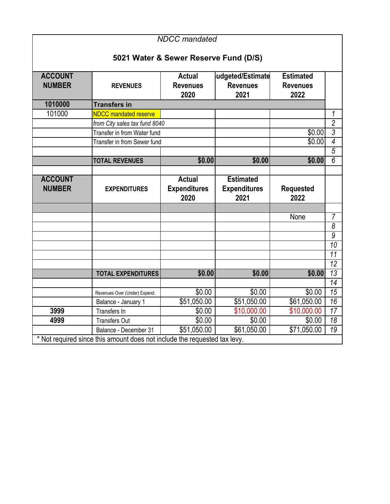|                                 | <b>NDCC</b> mandated<br>5021 Water & Sewer Reserve Fund (D/S)             |                                              |                                                 |                                             |                 |  |  |
|---------------------------------|---------------------------------------------------------------------------|----------------------------------------------|-------------------------------------------------|---------------------------------------------|-----------------|--|--|
| <b>ACCOUNT</b><br><b>NUMBER</b> | <b>REVENUES</b>                                                           | <b>Actual</b><br><b>Revenues</b><br>2020     | udgeted/Estimate<br><b>Revenues</b><br>2021     | <b>Estimated</b><br><b>Revenues</b><br>2022 |                 |  |  |
| 1010000                         | <b>Transfers in</b>                                                       |                                              |                                                 |                                             |                 |  |  |
| 101000                          | <b>NDCC mandated reserve</b>                                              |                                              |                                                 |                                             | 1               |  |  |
|                                 | from City sales tax fund 8040                                             |                                              |                                                 |                                             | $\overline{2}$  |  |  |
|                                 | Transfer in from Water fund                                               |                                              |                                                 | \$0.00                                      | 3               |  |  |
|                                 | Transfer in from Sewer fund                                               |                                              |                                                 | \$0.00                                      | $\overline{4}$  |  |  |
|                                 |                                                                           |                                              |                                                 |                                             | $\overline{5}$  |  |  |
|                                 | <b>TOTAL REVENUES</b>                                                     | \$0.00                                       | \$0.00                                          | \$0.00                                      | $\overline{6}$  |  |  |
|                                 |                                                                           |                                              |                                                 |                                             |                 |  |  |
| <b>ACCOUNT</b><br><b>NUMBER</b> | <b>EXPENDITURES</b>                                                       | <b>Actual</b><br><b>Expenditures</b><br>2020 | <b>Estimated</b><br><b>Expenditures</b><br>2021 | <b>Requested</b><br>2022                    |                 |  |  |
|                                 |                                                                           |                                              |                                                 |                                             |                 |  |  |
|                                 |                                                                           |                                              |                                                 | None                                        | $\overline{7}$  |  |  |
|                                 |                                                                           |                                              |                                                 |                                             | $\overline{8}$  |  |  |
|                                 |                                                                           |                                              |                                                 |                                             | $\overline{9}$  |  |  |
|                                 |                                                                           |                                              |                                                 |                                             | $\overline{10}$ |  |  |
|                                 |                                                                           |                                              |                                                 |                                             | $\overline{11}$ |  |  |
|                                 |                                                                           |                                              |                                                 |                                             | $\overline{12}$ |  |  |
|                                 | <b>TOTAL EXPENDITURES</b>                                                 | \$0.00                                       | \$0.00                                          | \$0.00                                      | $\overline{13}$ |  |  |
|                                 |                                                                           |                                              |                                                 |                                             | $\overline{14}$ |  |  |
|                                 | Revenues Over (Under) Expend.                                             | \$0.00                                       | \$0.00                                          | \$0.00                                      | 15              |  |  |
|                                 | Balance - January 1                                                       | \$51,050.00                                  | \$51,050.00                                     | \$61,050.00                                 | $\overline{16}$ |  |  |
| 3999                            | Transfers In                                                              | \$0.00                                       | \$10,000.00                                     | \$10,000.00                                 | $\overline{17}$ |  |  |
| 4999                            | <b>Transfers Out</b>                                                      | \$0.00                                       | $\sqrt{$0.00}$                                  | \$0.00                                      | $\overline{18}$ |  |  |
|                                 | Balance - December 31                                                     | \$51,050.00                                  | \$61,050.00                                     | \$71,050.00                                 | $\overline{19}$ |  |  |
|                                 | * Not required since this amount does not include the requested tax levy. |                                              |                                                 |                                             |                 |  |  |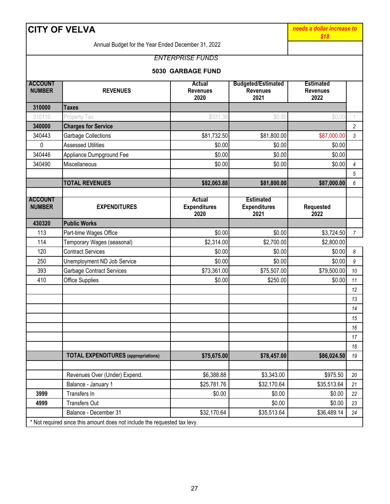| <b>CITY OF VELVA</b>            | needs a dollar increase to<br>\$18                                        |                                          |                                                      |                                             |                  |
|---------------------------------|---------------------------------------------------------------------------|------------------------------------------|------------------------------------------------------|---------------------------------------------|------------------|
|                                 | Annual Budget for the Year Ended December 31, 2022                        |                                          |                                                      |                                             |                  |
|                                 |                                                                           | <b>ENTERPRISE FUNDS</b>                  |                                                      |                                             |                  |
|                                 |                                                                           | 5030 GARBAGE FUND                        |                                                      |                                             |                  |
| <b>ACCOUNT</b><br><b>NUMBER</b> | <b>REVENUES</b>                                                           | <b>Actual</b><br><b>Revenues</b><br>2020 | <b>Budgeted/Estimated</b><br><b>Revenues</b><br>2021 | <b>Estimated</b><br><b>Revenues</b><br>2022 |                  |
| 310000                          | Taxes                                                                     |                                          |                                                      |                                             |                  |
| 310110                          | Property Tax                                                              | \$331.38                                 | \$0.00                                               | \$0.00                                      | 1                |
| 340000                          | <b>Charges for Service</b>                                                |                                          |                                                      |                                             | $\overline{2}$   |
| 340443                          | Garbage Collections                                                       | \$81,732.50                              | \$81,800.00                                          | \$87,000.00                                 | 3                |
| 0                               | <b>Assessed Utilities</b>                                                 | \$0.00                                   | \$0.00                                               | \$0.00                                      |                  |
| 340446                          | Appliance Dumpground Fee                                                  | \$0.00                                   | \$0.00                                               | \$0.00                                      |                  |
| 340490                          | Miscellaneous                                                             | \$0.00                                   | \$0.00                                               | \$0.00                                      | $\overline{4}$   |
|                                 |                                                                           |                                          |                                                      |                                             | 5                |
|                                 | <b>TOTAL REVENUES</b>                                                     | \$82,063.88                              | \$81,800.00                                          | \$87,000.00                                 | 6                |
|                                 |                                                                           |                                          |                                                      |                                             |                  |
| <b>ACCOUNT</b><br><b>NUMBER</b> | <b>EXPENDITURES</b>                                                       | Actual<br><b>Expenditures</b><br>2020    | <b>Estimated</b><br><b>Expenditures</b><br>2021      | Requested<br>2022                           |                  |
| 430320                          | <b>Public Works</b>                                                       |                                          |                                                      |                                             |                  |
| 113                             | Part-time Wages Office                                                    | \$0.00                                   | \$0.00                                               | \$3,724.50                                  | $\overline{7}$   |
| 114                             | Temporary Wages (seasonal)                                                | \$2,314.00                               | \$2,700.00                                           | \$2,800.00                                  |                  |
| 120                             | <b>Contract Services</b>                                                  | \$0.00                                   | \$0.00                                               | \$0.00                                      | 8                |
| 250                             | Unemployment ND Job Service                                               | \$0.00                                   | \$0.00                                               | \$0.00                                      | $\boldsymbol{9}$ |
| 393                             | <b>Garbage Contract Services</b>                                          | \$73,361.00                              | \$75,507.00                                          | \$79,500.00                                 | 10               |
| 410                             | Office Supplies                                                           | \$0.00                                   | \$250.00                                             | \$0.00                                      | 11               |
|                                 |                                                                           |                                          |                                                      |                                             | 12               |
|                                 |                                                                           |                                          |                                                      |                                             | 13               |
|                                 |                                                                           |                                          |                                                      |                                             | 14               |
|                                 |                                                                           |                                          |                                                      |                                             | 15               |
|                                 |                                                                           |                                          |                                                      |                                             | 16               |
|                                 |                                                                           |                                          |                                                      |                                             | 17               |
|                                 |                                                                           |                                          |                                                      |                                             | 18               |
|                                 | <b>TOTAL EXPENDITURES</b> (appropriations)                                | \$75,675.00                              | \$78,457.00                                          | \$86,024.50                                 | 19               |
|                                 | Revenues Over (Under) Expend.                                             | \$6,388.88                               | \$3,343.00                                           | \$975.50                                    | 20               |
|                                 | Balance - January 1                                                       | \$25,781.76                              | \$32,170.64                                          | \$35,513.64                                 | 21               |
| 3999                            | Transfers In                                                              | \$0.00                                   | \$0.00                                               | \$0.00                                      | 22               |
| 4999                            | <b>Transfers Out</b>                                                      |                                          | \$0.00                                               | \$0.00                                      | 23               |
|                                 | Balance - December 31                                                     | \$32,170.64                              | \$35,513.64                                          | \$36,489.14                                 | 24               |
|                                 | * Not required since this amount does not include the requested tax levy. |                                          |                                                      |                                             |                  |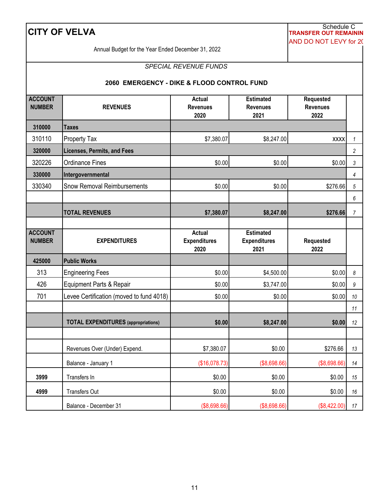# Schedule C **CITY OF VELVA TRANSFER OUT REMAININ** AND DO NOT LEVY for 20

Annual Budget for the Year Ended December 31, 2022

#### *SPECIAL REVENUE FUNDS*

#### **2060 EMERGENCY - DIKE & FLOOD CONTROL FUND**

| <b>ACCOUNT</b><br><b>NUMBER</b> | <b>REVENUES</b>                            | <b>Actual</b><br><b>Revenues</b> | <b>Estimated</b><br><b>Revenues</b> | <b>Requested</b><br><b>Revenues</b> |                       |
|---------------------------------|--------------------------------------------|----------------------------------|-------------------------------------|-------------------------------------|-----------------------|
|                                 |                                            | 2020                             | 2021                                | 2022                                |                       |
| 310000                          | Taxes                                      |                                  |                                     |                                     |                       |
| 310110                          | <b>Property Tax</b>                        | \$7,380.07                       | \$8,247.00                          | <b>XXXX</b>                         | $\mathbf{1}$          |
| 320000                          | <b>Licenses, Permits, and Fees</b>         |                                  |                                     |                                     | $\sqrt{2}$            |
| 320226                          | <b>Ordinance Fines</b>                     | \$0.00                           | \$0.00                              | \$0.00                              | 3                     |
| 330000                          | Intergovernmental                          |                                  |                                     |                                     | $\overline{4}$        |
| 330340                          | <b>Snow Removal Reimbursements</b>         | \$0.00                           | \$0.00                              | \$276.66                            | $\sqrt{5}$            |
|                                 |                                            |                                  |                                     |                                     | 6                     |
|                                 | <b>TOTAL REVENUES</b>                      | \$7,380.07                       | \$8,247.00                          | \$276.66                            | $\overline{7}$        |
|                                 |                                            |                                  |                                     |                                     |                       |
| <b>ACCOUNT</b>                  |                                            | <b>Actual</b>                    | <b>Estimated</b>                    |                                     |                       |
| <b>NUMBER</b>                   | <b>EXPENDITURES</b>                        | <b>Expenditures</b><br>2020      | <b>Expenditures</b><br>2021         | Requested<br>2022                   |                       |
| 425000                          | <b>Public Works</b>                        |                                  |                                     |                                     |                       |
| 313                             | <b>Engineering Fees</b>                    | \$0.00                           | \$4,500.00                          | \$0.00                              | $\boldsymbol{\delta}$ |
| 426                             | Equipment Parts & Repair                   | \$0.00                           | \$3,747.00                          | \$0.00                              | $\boldsymbol{9}$      |
| 701                             | Levee Certification (moved to fund 4018)   | \$0.00                           | \$0.00                              | \$0.00                              | $10$                  |
|                                 |                                            |                                  |                                     |                                     | 11                    |
|                                 | <b>TOTAL EXPENDITURES</b> (appropriations) | \$0.00                           | \$8,247.00                          | \$0.00                              | 12                    |
|                                 |                                            |                                  |                                     |                                     |                       |
|                                 | Revenues Over (Under) Expend.              | \$7,380.07                       | \$0.00                              | \$276.66                            | 13                    |
|                                 | Balance - January 1                        | (\$16,078.73)                    | (\$8,698.66)                        | (\$8,698.66)                        | 14                    |
| 3999                            | Transfers In                               | \$0.00                           | \$0.00                              | \$0.00                              | 15                    |
| 4999                            | <b>Transfers Out</b>                       | \$0.00                           | \$0.00                              | \$0.00                              | 16                    |
|                                 | Balance - December 31                      | (\$8,698.66)                     | (\$8,698.66)                        | (\$8,422.00)                        | $17$                  |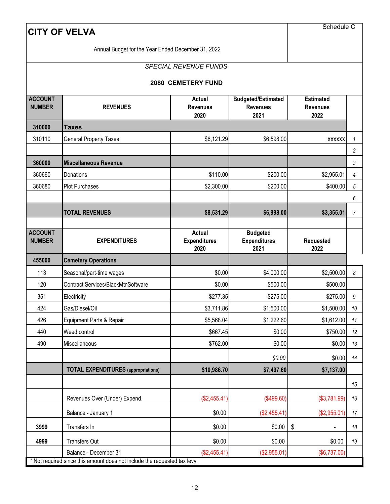| <b>CITY OF VELVA</b>            | Schedule C                                                                                         |                                              |                                                      |                                             |    |
|---------------------------------|----------------------------------------------------------------------------------------------------|----------------------------------------------|------------------------------------------------------|---------------------------------------------|----|
|                                 | Annual Budget for the Year Ended December 31, 2022                                                 |                                              |                                                      |                                             |    |
|                                 |                                                                                                    | <b>SPECIAL REVENUE FUNDS</b>                 |                                                      |                                             |    |
|                                 |                                                                                                    | <b>2080 CEMETERY FUND</b>                    |                                                      |                                             |    |
| <b>ACCOUNT</b><br><b>NUMBER</b> | <b>REVENUES</b>                                                                                    | <b>Actual</b><br><b>Revenues</b><br>2020     | <b>Budgeted/Estimated</b><br><b>Revenues</b><br>2021 | <b>Estimated</b><br><b>Revenues</b><br>2022 |    |
| 310000                          | <b>Taxes</b>                                                                                       |                                              |                                                      |                                             |    |
| 310110                          | <b>General Property Taxes</b>                                                                      | \$6,121.29                                   | \$6,598.00                                           | <b>XXXXXX</b>                               | 1  |
|                                 |                                                                                                    |                                              |                                                      |                                             | 2  |
| 360000                          | <b>Miscellaneous Revenue</b>                                                                       |                                              |                                                      |                                             | 3  |
| 360660                          | Donations                                                                                          | \$110.00                                     | \$200.00                                             | \$2,955.01                                  | 4  |
| 360680                          | <b>Plot Purchases</b>                                                                              | \$2,300.00                                   | \$200.00                                             | \$400.00                                    | 5  |
|                                 |                                                                                                    |                                              |                                                      |                                             | 6  |
|                                 | <b>TOTAL REVENUES</b>                                                                              | \$8,531.29                                   | \$6,998.00                                           | \$3,355.01                                  | 7  |
| <b>ACCOUNT</b><br><b>NUMBER</b> | <b>EXPENDITURES</b>                                                                                | <b>Actual</b><br><b>Expenditures</b><br>2020 | <b>Budgeted</b><br><b>Expenditures</b><br>2021       | Requested<br>2022                           |    |
| 455000                          | <b>Cemetery Operations</b>                                                                         |                                              |                                                      |                                             |    |
| 113                             | Seasonal/part-time wages                                                                           | \$0.00                                       | \$4,000.00                                           | \$2,500.00                                  | 8  |
| 120                             | Contract Services/BlackMtnSoftware                                                                 | \$0.00                                       | \$500.00                                             | \$500.00                                    |    |
| 351                             | Electricity                                                                                        | \$277.35                                     | \$275.00                                             | \$275.00                                    | 9  |
| 424                             | Gas/Diesel/Oil                                                                                     | \$3,711.86                                   | \$1,500.00                                           | \$1,500.00                                  | 10 |
| 426                             | Equipment Parts & Repair                                                                           | \$5,568.04                                   | \$1,222.60                                           | \$1,612.00                                  | 11 |
| 440                             | Weed control                                                                                       | \$667.45                                     | \$0.00                                               | \$750.00                                    | 12 |
| 490                             | Miscellaneous                                                                                      | \$762.00                                     | \$0.00                                               | \$0.00                                      | 13 |
|                                 |                                                                                                    |                                              | \$0.00                                               | \$0.00                                      | 14 |
|                                 | <b>TOTAL EXPENDITURES</b> (appropriations)                                                         | \$10,986.70                                  | \$7,497.60                                           | \$7,137.00                                  |    |
|                                 |                                                                                                    |                                              |                                                      |                                             | 15 |
|                                 | Revenues Over (Under) Expend.                                                                      | (\$2,455.41)                                 | (\$499.60)                                           | (\$3,781.99)                                | 16 |
|                                 | Balance - January 1                                                                                | \$0.00                                       | (\$2,455.41)                                         | (\$2,955.01)                                | 17 |
| 3999                            | Transfers In                                                                                       | \$0.00                                       | \$0.00                                               | \$                                          | 18 |
| 4999                            | <b>Transfers Out</b>                                                                               | \$0.00                                       | \$0.00                                               | \$0.00                                      | 19 |
|                                 | Balance - December 31<br>* Not required since this amount does not include the requested tax levy. | (\$2,455.41)                                 | (\$2,955.01)                                         | (\$6,737.00)                                |    |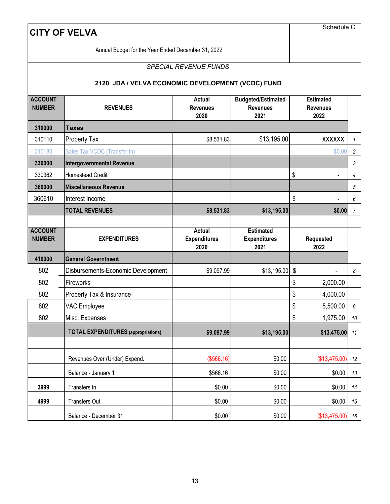|                                 | <b>CITY OF VELVA</b>                                 |                                          |                                                      | Schedule C                                  |                  |
|---------------------------------|------------------------------------------------------|------------------------------------------|------------------------------------------------------|---------------------------------------------|------------------|
|                                 | Annual Budget for the Year Ended December 31, 2022   |                                          |                                                      |                                             |                  |
|                                 |                                                      | <b>SPECIAL REVENUE FUNDS</b>             |                                                      |                                             |                  |
|                                 | 2120 JDA / VELVA ECONOMIC DEVELOPMENT (VCDC) FUND    |                                          |                                                      |                                             |                  |
| <b>ACCOUNT</b><br><b>NUMBER</b> | <b>REVENUES</b>                                      | <b>Actual</b><br><b>Revenues</b><br>2020 | <b>Budgeted/Estimated</b><br><b>Revenues</b><br>2021 | <b>Estimated</b><br><b>Revenues</b><br>2022 |                  |
| 310000                          | <b>Taxes</b>                                         |                                          |                                                      |                                             |                  |
| 310110                          | Property Tax                                         | \$8,531.83                               | \$13,195.00                                          | <b>XXXXXX</b>                               | $\mathbf{1}$     |
| 310180                          | Sales Tax VCDC (Transfer In)                         |                                          |                                                      | \$0.00                                      | $\overline{c}$   |
| 330000                          | <b>Intergovernmental Revenue</b>                     |                                          |                                                      |                                             | 3                |
| 330362                          | <b>Homestead Credit</b>                              |                                          |                                                      | \$                                          | 4                |
| 360000                          | <b>Miscellaneous Revenue</b>                         |                                          |                                                      |                                             | 5                |
| 360610                          | Interest Income                                      |                                          |                                                      | \$                                          | 6                |
|                                 | <b>TOTAL REVENUES</b>                                | \$8,531.83                               | \$13,195.00                                          | \$0.00                                      | 7                |
|                                 |                                                      |                                          |                                                      |                                             |                  |
| <b>ACCOUNT</b><br><b>NUMBER</b> | <b>EXPENDITURES</b>                                  | Actual<br><b>Expenditures</b>            | <b>Estimated</b><br><b>Expenditures</b>              | <b>Requested</b>                            |                  |
|                                 |                                                      | 2020                                     | 2021                                                 | 2022                                        |                  |
| 410000                          | <b>General Governtment</b>                           |                                          |                                                      |                                             |                  |
| 802                             | Disbursements-Economic Development                   | \$9,097.99                               | \$13,195.00                                          | \$                                          | 8                |
| 802                             | Fireworks                                            |                                          |                                                      | \$<br>2,000.00                              |                  |
| 802                             | Property Tax & Insurance                             |                                          |                                                      | \$<br>4,000.00                              |                  |
| 802                             | VAC Employee                                         |                                          |                                                      | \$<br>5,500.00                              | $\boldsymbol{9}$ |
| 802                             | Misc. Expenses                                       |                                          |                                                      | \$<br>1,975.00                              | 10               |
|                                 | <b>TOTAL EXPENDITURES</b> (appropriations)           | \$9,097.99                               | \$13,195.00                                          | $$13,475.00$ 11                             |                  |
|                                 |                                                      |                                          |                                                      |                                             |                  |
|                                 | Revenues Over (Under) Expend.<br>Balance - January 1 | (\$566.16)<br>\$566.16                   | \$0.00<br>\$0.00                                     | (\$13,475.00)<br>\$0.00                     | 12<br>13         |
| 3999                            | Transfers In                                         | \$0.00                                   | \$0.00                                               | \$0.00                                      | 14               |
| 4999                            | <b>Transfers Out</b>                                 | \$0.00                                   | \$0.00                                               | \$0.00                                      | 15               |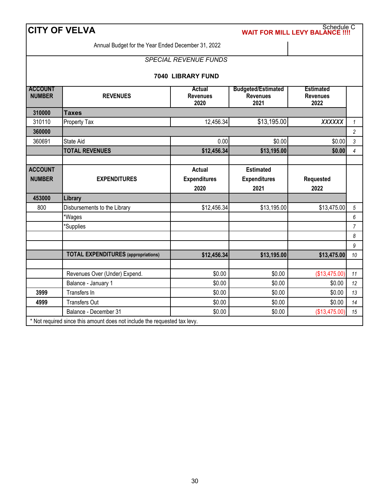|                                 | <b>CITY OF VELVA</b>                               |                                              |                                                      | Schedule C<br><b>WAIT FOR MILL LEVY BALANCE !!!</b> |                  |
|---------------------------------|----------------------------------------------------|----------------------------------------------|------------------------------------------------------|-----------------------------------------------------|------------------|
|                                 | Annual Budget for the Year Ended December 31, 2022 |                                              |                                                      |                                                     |                  |
|                                 |                                                    | <b>SPECIAL REVENUE FUNDS</b>                 |                                                      |                                                     |                  |
|                                 |                                                    | 7040 LIBRARY FUND                            |                                                      |                                                     |                  |
| <b>ACCOUNT</b><br><b>NUMBER</b> | <b>REVENUES</b>                                    | Actual<br><b>Revenues</b><br>2020            | <b>Budgeted/Estimated</b><br><b>Revenues</b><br>2021 | <b>Estimated</b><br><b>Revenues</b><br>2022         |                  |
| 310000                          | <b>Taxes</b>                                       |                                              |                                                      |                                                     |                  |
| 310110                          | Property Tax                                       | 12,456.34                                    | \$13,195.00                                          | <b>XXXXXX</b>                                       | $\mathcal{I}$    |
| 360000                          |                                                    |                                              |                                                      |                                                     | $\overline{c}$   |
| 360691                          | State Aid                                          | 0.00                                         | \$0.00                                               | \$0.00                                              | $\mathfrak{Z}$   |
|                                 | <b>TOTAL REVENUES</b>                              | \$12,456.34                                  | \$13,195.00                                          | \$0.00                                              | $\overline{4}$   |
|                                 |                                                    |                                              |                                                      |                                                     |                  |
| <b>ACCOUNT</b><br><b>NUMBER</b> | <b>EXPENDITURES</b>                                | <b>Actual</b><br><b>Expenditures</b><br>2020 | <b>Estimated</b><br><b>Expenditures</b><br>2021      | Requested<br>2022                                   |                  |
| 453000                          | Library                                            |                                              |                                                      |                                                     |                  |
| 800                             | Disbursements to the Library                       | \$12,456.34                                  | \$13,195.00                                          | \$13,475.00                                         | 5                |
|                                 | *Wages                                             |                                              |                                                      |                                                     | $\boldsymbol{6}$ |
|                                 | 'Supplies                                          |                                              |                                                      |                                                     | $\overline{7}$   |
|                                 |                                                    |                                              |                                                      |                                                     | 8                |
|                                 |                                                    |                                              |                                                      |                                                     | $\boldsymbol{9}$ |
|                                 | <b>TOTAL EXPENDITURES</b> (appropriations)         | \$12,456.34                                  | \$13,195.00                                          | \$13,475.00                                         | 10               |
|                                 | Revenues Over (Under) Expend.                      | \$0.00                                       | \$0.00                                               | (\$13,475.00)                                       | 11               |
|                                 | Balance - January 1                                | \$0.00                                       | \$0.00                                               | \$0.00                                              | 12               |
| 3999                            | Transfers In                                       | \$0.00                                       | \$0.00                                               | \$0.00                                              | 13               |
|                                 |                                                    |                                              |                                                      |                                                     |                  |
| 4999                            | <b>Transfers Out</b>                               | \$0.00                                       | \$0.00                                               | \$0.00                                              | 14               |

\* Not required since this amount does not include the requested tax levy.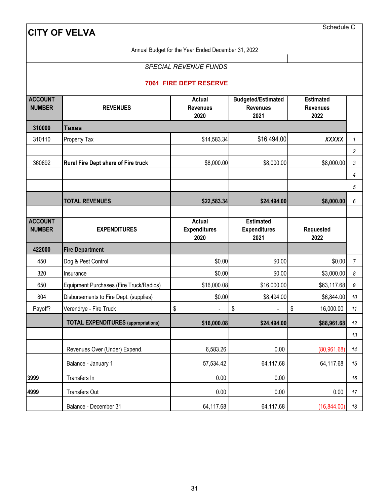Annual Budget for the Year Ended December 31, 2022

# *SPECIAL REVENUE FUNDS*

#### **7061 FIRE DEPT RESERVE**

| <b>ACCOUNT</b><br><b>NUMBER</b> | <b>REVENUES</b>                            | <b>Actual</b><br><b>Revenues</b> | <b>Budgeted/Estimated</b><br><b>Revenues</b> | <b>Estimated</b><br><b>Revenues</b> |                |
|---------------------------------|--------------------------------------------|----------------------------------|----------------------------------------------|-------------------------------------|----------------|
|                                 |                                            | 2020                             | 2021                                         | 2022                                |                |
| 310000                          | <b>Taxes</b>                               |                                  |                                              |                                     |                |
| 310110                          | <b>Property Tax</b>                        | \$14,583.34                      | \$16,494.00                                  | <b>XXXXX</b>                        | $\mathcal{I}$  |
|                                 |                                            |                                  |                                              |                                     | $\overline{a}$ |
| 360692                          | Rural Fire Dept share of Fire truck        | \$8,000.00                       | \$8,000.00                                   | \$8,000.00                          | 3              |
|                                 |                                            |                                  |                                              |                                     | $\overline{4}$ |
|                                 |                                            |                                  |                                              |                                     | 5              |
|                                 | <b>TOTAL REVENUES</b>                      | \$22,583.34                      | \$24,494.00                                  | \$8,000.00                          | 6              |
|                                 |                                            |                                  |                                              |                                     |                |
| <b>ACCOUNT</b>                  |                                            | <b>Actual</b>                    | <b>Estimated</b>                             |                                     |                |
| <b>NUMBER</b>                   | <b>EXPENDITURES</b>                        | <b>Expenditures</b><br>2020      | <b>Expenditures</b><br>2021                  | Requested<br>2022                   |                |
| 422000                          | <b>Fire Department</b>                     |                                  |                                              |                                     |                |
| 450                             | Dog & Pest Control                         | \$0.00                           | \$0.00                                       | \$0.00                              | $\overline{7}$ |
| 320                             | Insurance                                  | \$0.00                           | \$0.00                                       | \$3,000.00                          | 8              |
| 650                             | Equipment Purchases (Fire Truck/Radios)    | \$16,000.08                      | \$16,000.00                                  | \$63,117.68                         | 9              |
| 804                             | Disbursements to Fire Dept. (supplies)     | \$0.00                           | \$8,494.00                                   | \$6,844.00                          | 10             |
| Payoff?                         | Verendrye - Fire Truck                     | \$                               | \$                                           | \$<br>16,000.00                     | 11             |
|                                 | <b>TOTAL EXPENDITURES</b> (appropriations) | \$16,000.08                      | \$24,494.00                                  | \$88,961.68                         | 12             |
|                                 |                                            |                                  |                                              |                                     | 13             |
|                                 | Revenues Over (Under) Expend.              | 6,583.26                         | 0.00                                         | (80, 961.68)                        | 14             |
|                                 | Balance - January 1                        | 57,534.42                        | 64,117.68                                    | 64,117.68                           | 15             |
| 3999                            | Transfers In                               | 0.00                             | 0.00                                         |                                     | 16             |
| 4999                            | <b>Transfers Out</b>                       | 0.00                             | 0.00                                         | 0.00                                | 17             |
|                                 | Balance - December 31                      | 64,117.68                        | 64,117.68                                    | (16, 844.00)                        | 18             |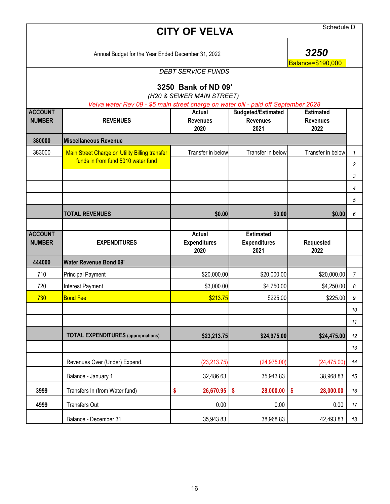|                                 | Schedule D                                                                          |                                                  |                                                      |                                             |                |
|---------------------------------|-------------------------------------------------------------------------------------|--------------------------------------------------|------------------------------------------------------|---------------------------------------------|----------------|
|                                 | Annual Budget for the Year Ended December 31, 2022                                  |                                                  |                                                      |                                             |                |
|                                 |                                                                                     | <b>DEBT SERVICE FUNDS</b>                        |                                                      | Balance=\$190,000                           |                |
|                                 | Velva water Rev 09 - \$5 main street charge on water bill - paid off September 2028 | 3250 Bank of ND 09'<br>(H20 & SEWER MAIN STREET) |                                                      |                                             |                |
| <b>ACCOUNT</b><br><b>NUMBER</b> | <b>REVENUES</b>                                                                     | <b>Actual</b><br><b>Revenues</b><br>2020         | <b>Budgeted/Estimated</b><br><b>Revenues</b><br>2021 | <b>Estimated</b><br><b>Revenues</b><br>2022 |                |
| 380000                          | <b>Miscellaneous Revenue</b>                                                        |                                                  |                                                      |                                             |                |
| 383000                          | Main Street Charge on Utility Billing transfer                                      | Transfer in below                                | Transfer in below                                    | Transfer in below                           | 1              |
|                                 | funds in from fund 5010 water fund                                                  |                                                  |                                                      |                                             | $\overline{c}$ |
|                                 |                                                                                     |                                                  |                                                      |                                             | 3              |
|                                 |                                                                                     |                                                  |                                                      |                                             | 4              |
|                                 |                                                                                     |                                                  |                                                      |                                             | 5              |
|                                 | <b>TOTAL REVENUES</b>                                                               | \$0.00                                           | \$0.00                                               | \$0.00                                      | 6              |
| <b>ACCOUNT</b><br><b>NUMBER</b> | <b>EXPENDITURES</b>                                                                 | Actual<br><b>Expenditures</b><br>2020            | <b>Estimated</b><br><b>Expenditures</b><br>2021      | Requested<br>2022                           |                |
| 444000                          | <b>Water Revenue Bond 09'</b>                                                       |                                                  |                                                      |                                             |                |
| 710                             | <b>Principal Payment</b>                                                            | \$20,000.00                                      | \$20,000.00                                          | \$20,000.00                                 | 7              |
| 720                             | Interest Payment                                                                    | \$3,000.00                                       | \$4,750.00                                           | \$4,250.00                                  | 8              |
| 730                             | <b>Bond Fee</b>                                                                     | \$213.75                                         | \$225.00                                             | \$225.00                                    | 9              |
|                                 |                                                                                     |                                                  |                                                      |                                             | 10             |
|                                 |                                                                                     |                                                  |                                                      |                                             | 11             |
|                                 | <b>TOTAL EXPENDITURES</b> (appropriations)                                          | \$23,213.75                                      | \$24,975.00                                          | \$24,475.00                                 | 12             |
|                                 |                                                                                     |                                                  |                                                      |                                             | 13             |
|                                 | Revenues Over (Under) Expend.                                                       | (23, 213.75)                                     | (24, 975.00)                                         | (24, 475.00)                                | 14             |
|                                 | Balance - January 1                                                                 | 32,486.63                                        | 35,943.83                                            | 38,968.83                                   | 15             |
| 3999                            | Transfers In (from Water fund)                                                      | 26,670.95<br>\$                                  | 28,000.00<br>\$                                      | \$<br>28,000.00                             | 16             |
| 4999                            | Transfers Out                                                                       | 0.00                                             | 0.00                                                 | 0.00                                        | 17             |
|                                 | Balance - December 31                                                               | 35,943.83                                        | 38,968.83                                            | 42,493.83                                   | 18             |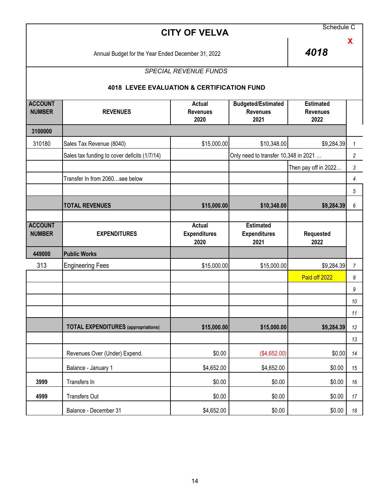| Schedule C<br><b>CITY OF VELVA</b> |                                                       |                                              |                                                      |                                             |                |
|------------------------------------|-------------------------------------------------------|----------------------------------------------|------------------------------------------------------|---------------------------------------------|----------------|
|                                    | 4018                                                  | X                                            |                                                      |                                             |                |
|                                    |                                                       | <b>SPECIAL REVENUE FUNDS</b>                 |                                                      |                                             |                |
|                                    | <b>4018 LEVEE EVALUATION &amp; CERTIFICATION FUND</b> |                                              |                                                      |                                             |                |
| <b>ACCOUNT</b><br><b>NUMBER</b>    | <b>REVENUES</b>                                       | Actual<br><b>Revenues</b><br>2020            | <b>Budgeted/Estimated</b><br><b>Revenues</b><br>2021 | <b>Estimated</b><br><b>Revenues</b><br>2022 |                |
| 3100000                            |                                                       |                                              |                                                      |                                             |                |
| 310180                             | Sales Tax Revenue (8040)                              | \$15,000.00                                  | \$10,348.00                                          | \$9,284.39                                  | $\mathcal{I}$  |
|                                    | Sales tax funding to cover deficits (1/7/14)          |                                              | Only need to transfer 10,348 in 2021                 |                                             | $\overline{c}$ |
|                                    |                                                       |                                              |                                                      | Then pay off in 2022                        | 3              |
|                                    | Transfer In from 2060see below                        |                                              |                                                      |                                             | 4              |
|                                    |                                                       |                                              |                                                      |                                             | 5              |
|                                    | <b>TOTAL REVENUES</b>                                 | \$15,000.00                                  | \$10,348.00                                          | \$9,284.39                                  | 6              |
| <b>ACCOUNT</b><br><b>NUMBER</b>    | <b>EXPENDITURES</b>                                   | <b>Actual</b><br><b>Expenditures</b><br>2020 | <b>Estimated</b><br><b>Expenditures</b><br>2021      | Requested<br>2022                           |                |
| 449000                             | <b>Public Works</b>                                   |                                              |                                                      |                                             |                |
| 313                                | <b>Engineering Fees</b>                               | \$15,000.00                                  | \$15,000.00                                          | \$9,284.39                                  | $\overline{7}$ |
|                                    |                                                       |                                              |                                                      | Paid off 2022                               | 8              |
|                                    |                                                       |                                              |                                                      |                                             | 9              |
|                                    |                                                       |                                              |                                                      |                                             | 10             |
|                                    |                                                       |                                              |                                                      |                                             | 11             |
|                                    | <b>TOTAL EXPENDITURES</b> (appropriations)            | \$15,000.00                                  | \$15,000.00                                          | \$9,284.39                                  | 12             |
|                                    |                                                       |                                              |                                                      |                                             | 13             |
|                                    | Revenues Over (Under) Expend.                         | \$0.00                                       | (\$4,652.00)                                         | \$0.00                                      | 14             |
|                                    | Balance - January 1                                   | \$4,652.00                                   | \$4,652.00                                           | \$0.00                                      | 15             |
| 3999                               | Transfers In                                          | \$0.00                                       | \$0.00                                               | \$0.00                                      | 16             |
| 4999                               | <b>Transfers Out</b>                                  | \$0.00                                       | \$0.00                                               | \$0.00                                      | 17             |
|                                    | Balance - December 31                                 | \$4,652.00                                   | \$0.00                                               | \$0.00                                      | 18             |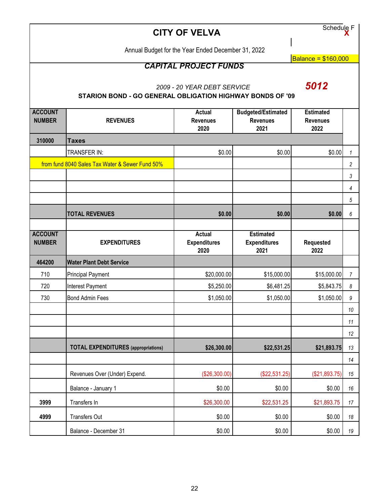Schedule F **X**

Annual Budget for the Year Ended December 31, 2022

Balance = \$160,000

# *CAPITAL PROJECT FUNDS*

*2009 - 20 YEAR DEBT SERVICE 5012*

# **STARION BOND - GO GENERAL OBLIGATION HIGHWAY BONDS OF '09**

| <b>ACCOUNT</b>                  |                                                 | <b>Actual</b>                        | <b>Budgeted/Estimated</b>               | <b>Estimated</b>        |                       |
|---------------------------------|-------------------------------------------------|--------------------------------------|-----------------------------------------|-------------------------|-----------------------|
| <b>NUMBER</b>                   | <b>REVENUES</b>                                 | <b>Revenues</b><br>2020              | <b>Revenues</b><br>2021                 | <b>Revenues</b><br>2022 |                       |
|                                 |                                                 |                                      |                                         |                         |                       |
| 310000                          | <b>Taxes</b>                                    |                                      |                                         |                         |                       |
|                                 | TRANSFER IN:                                    | \$0.00                               | \$0.00                                  | \$0.00                  | $\mathbf{1}$          |
|                                 | from fund 8040 Sales Tax Water & Sewer Fund 50% |                                      |                                         |                         | $\sqrt{2}$            |
|                                 |                                                 |                                      |                                         |                         | $\mathfrak{Z}$        |
|                                 |                                                 |                                      |                                         |                         | $\overline{4}$        |
|                                 |                                                 |                                      |                                         |                         | $\sqrt{5}$            |
|                                 | <b>TOTAL REVENUES</b>                           | \$0.00                               | \$0.00                                  | \$0.00                  | $\boldsymbol{6}$      |
|                                 |                                                 |                                      |                                         |                         |                       |
| <b>ACCOUNT</b><br><b>NUMBER</b> |                                                 | <b>Actual</b><br><b>Expenditures</b> | <b>Estimated</b><br><b>Expenditures</b> | Requested               |                       |
|                                 | <b>EXPENDITURES</b>                             | 2020                                 | 2021                                    | 2022                    |                       |
| 464200                          | <b>Water Plant Debt Service</b>                 |                                      |                                         |                         |                       |
| 710                             | <b>Principal Payment</b>                        | \$20,000.00                          | \$15,000.00                             | \$15,000.00             | $\overline{7}$        |
| 720                             | <b>Interest Payment</b>                         | \$5,250.00                           | \$6,481.25                              | \$5,843.75              | $\boldsymbol{\delta}$ |
| 730                             | <b>Bond Admin Fees</b>                          | \$1,050.00                           | \$1,050.00                              | \$1,050.00              | $\boldsymbol{9}$      |
|                                 |                                                 |                                      |                                         |                         | 10                    |
|                                 |                                                 |                                      |                                         |                         | 11                    |
|                                 |                                                 |                                      |                                         |                         | 12                    |
|                                 | <b>TOTAL EXPENDITURES</b> (appropriations)      | \$26,300.00                          | \$22,531.25                             | \$21,893.75             | 13                    |
|                                 |                                                 |                                      |                                         |                         | 14                    |
|                                 | Revenues Over (Under) Expend.                   | (\$26,300.00)                        | (\$22,531.25)                           | (\$21,893.75)           | 15                    |
|                                 | Balance - January 1                             | \$0.00                               | \$0.00                                  | \$0.00                  | 16                    |
| 3999                            | Transfers In                                    | \$26,300.00                          | \$22,531.25                             | \$21,893.75             | 17                    |
| 4999                            | <b>Transfers Out</b>                            | \$0.00                               | \$0.00                                  | \$0.00                  | 18                    |
|                                 | Balance - December 31                           | \$0.00                               | \$0.00                                  | \$0.00                  | $19$                  |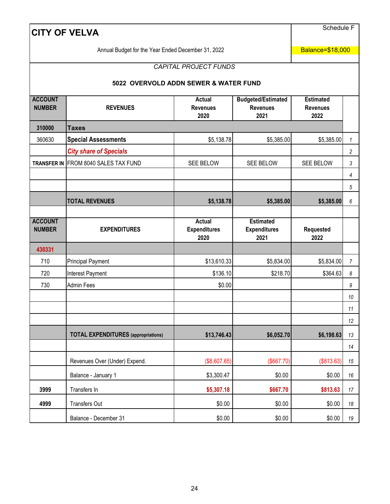Schedule F

Annual Budget for the Year Ended December 31, 2022

Balance=\$18,000

# *CAPITAL PROJECT FUNDS*

#### **5022 OVERVOLD ADDN SEWER & WATER FUND**

| <b>ACCOUNT</b><br><b>NUMBER</b> | <b>REVENUES</b>                            | <b>Actual</b><br><b>Revenues</b><br>2020     | <b>Budgeted/Estimated</b><br><b>Revenues</b><br>2021 | <b>Estimated</b><br><b>Revenues</b><br>2022 |                  |
|---------------------------------|--------------------------------------------|----------------------------------------------|------------------------------------------------------|---------------------------------------------|------------------|
| 310000                          | <b>Taxes</b>                               |                                              |                                                      |                                             |                  |
| 360630                          | <b>Special Assessments</b>                 | \$5,138.78                                   | \$5,385.00                                           | \$5,385.00                                  | $\mathbf{1}$     |
|                                 | <b>City share of Specials</b>              |                                              |                                                      |                                             | $\overline{c}$   |
| <b>TRANSFER IN</b>              | FROM 8040 SALES TAX FUND                   | SEE BELOW                                    | SEE BELOW                                            | SEE BELOW                                   | 3                |
|                                 |                                            |                                              |                                                      |                                             | 4                |
|                                 |                                            |                                              |                                                      |                                             | $\sqrt{5}$       |
|                                 | <b>TOTAL REVENUES</b>                      | \$5,138.78                                   | \$5,385.00                                           | \$5,385.00                                  | $\boldsymbol{6}$ |
|                                 |                                            |                                              |                                                      |                                             |                  |
| <b>ACCOUNT</b><br><b>NUMBER</b> | <b>EXPENDITURES</b>                        | <b>Actual</b><br><b>Expenditures</b><br>2020 | <b>Estimated</b><br><b>Expenditures</b><br>2021      | Requested<br>2022                           |                  |
| 430331                          |                                            |                                              |                                                      |                                             |                  |
| 710                             | Principal Payment                          | \$13,610.33                                  | \$5,834.00                                           | \$5,834.00                                  | $\overline{7}$   |
| 720                             | Interest Payment                           | \$136.10                                     | \$218.70                                             | \$364.63                                    | 8                |
| 730                             | <b>Admin Fees</b>                          | \$0.00                                       |                                                      |                                             | $\boldsymbol{9}$ |
|                                 |                                            |                                              |                                                      |                                             | 10               |
|                                 |                                            |                                              |                                                      |                                             | 11               |
|                                 |                                            |                                              |                                                      |                                             | 12               |
|                                 | <b>TOTAL EXPENDITURES</b> (appropriations) | \$13,746.43                                  | \$6,052.70                                           | \$6,198.63                                  | 13               |
|                                 |                                            |                                              |                                                      |                                             | 14               |
|                                 | Revenues Over (Under) Expend.              | (\$8,607.65)                                 | (\$667.70)                                           | (\$813.63)                                  | 15               |
|                                 | Balance - January 1                        | \$3,300.47                                   | \$0.00                                               | \$0.00                                      | 16               |
| 3999                            | Transfers In                               | \$5,307.18                                   | \$667.70                                             | \$813.63                                    | 17               |
| 4999                            | <b>Transfers Out</b>                       | \$0.00                                       | \$0.00                                               | \$0.00                                      | 18               |
|                                 | Balance - December 31                      | \$0.00                                       | \$0.00                                               | \$0.00                                      | 19               |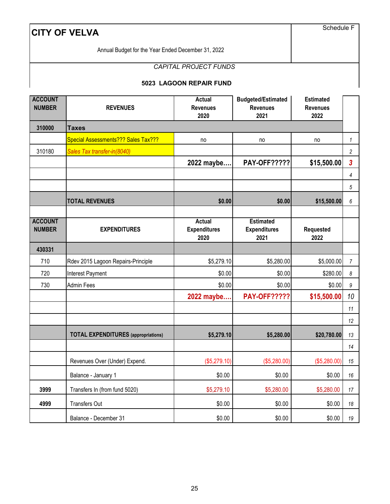Schedule F

Annual Budget for the Year Ended December 31, 2022

# *CAPITAL PROJECT FUNDS*

#### **5023 LAGOON REPAIR FUND**

| <b>ACCOUNT</b><br><b>NUMBER</b> | <b>REVENUES</b>                            | <b>Actual</b><br><b>Revenues</b><br>2020     | <b>Budgeted/Estimated</b><br><b>Revenues</b><br>2021 | <b>Estimated</b><br><b>Revenues</b><br>2022 |                         |
|---------------------------------|--------------------------------------------|----------------------------------------------|------------------------------------------------------|---------------------------------------------|-------------------------|
| 310000                          | <b>Taxes</b>                               |                                              |                                                      |                                             |                         |
|                                 | Special Assessments??? Sales Tax???        | no                                           | no                                                   | no                                          | $\mathbf{1}$            |
| 310180                          | Sales Tax transfer-in(8040)                |                                              |                                                      |                                             | $\overline{c}$          |
|                                 |                                            | 2022 maybe                                   | <b>PAY-OFF?????</b>                                  | \$15,500.00                                 | $\overline{\mathbf{3}}$ |
|                                 |                                            |                                              |                                                      |                                             | 4                       |
|                                 |                                            |                                              |                                                      |                                             | 5                       |
|                                 | <b>TOTAL REVENUES</b>                      | \$0.00                                       | \$0.00                                               | \$15,500.00                                 | 6                       |
|                                 |                                            |                                              |                                                      |                                             |                         |
| <b>ACCOUNT</b><br><b>NUMBER</b> | <b>EXPENDITURES</b>                        | <b>Actual</b><br><b>Expenditures</b><br>2020 | <b>Estimated</b><br><b>Expenditures</b><br>2021      | Requested<br>2022                           |                         |
| 430331                          |                                            |                                              |                                                      |                                             |                         |
| 710                             | Rdev 2015 Lagoon Repairs-Principle         | \$5,279.10                                   | \$5,280.00                                           | \$5,000.00                                  | $\overline{7}$          |
| 720                             | Interest Payment                           | \$0.00                                       | \$0.00                                               | \$280.00                                    | 8                       |
| 730                             | Admin Fees                                 | \$0.00                                       | \$0.00                                               | \$0.00                                      | 9                       |
|                                 |                                            | 2022 maybe                                   | <b>PAY-OFF?????</b>                                  | \$15,500.00                                 | 10                      |
|                                 |                                            |                                              |                                                      |                                             | 11                      |
|                                 |                                            |                                              |                                                      |                                             | 12                      |
|                                 | <b>TOTAL EXPENDITURES</b> (appropriations) | \$5,279.10                                   | \$5,280.00                                           | \$20,780.00                                 | 13                      |
|                                 |                                            |                                              |                                                      |                                             | 14                      |
|                                 | Revenues Over (Under) Expend.              | (\$5,279.10)                                 | (\$5,280.00)                                         | (\$5,280.00)                                | 15                      |
|                                 | Balance - January 1                        | \$0.00                                       | \$0.00                                               | \$0.00                                      | 16                      |
| 3999                            | Transfers In (from fund 5020)              | \$5,279.10                                   | \$5,280.00                                           | \$5,280.00                                  | 17                      |
| 4999                            | Transfers Out                              | \$0.00                                       | \$0.00                                               | \$0.00                                      | 18                      |
|                                 | Balance - December 31                      | \$0.00                                       | \$0.00                                               | \$0.00                                      | 19                      |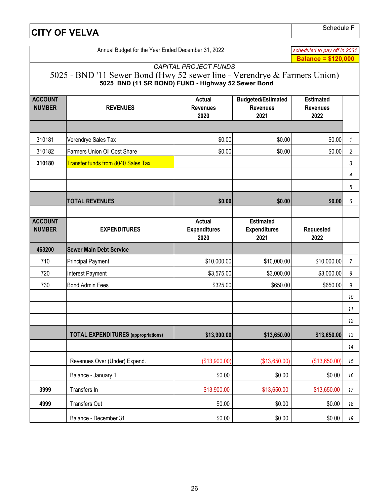Schedule F

|                 |                                                               | <b>Balance = \$120,000</b>                                                                                                                 |                                                                           |
|-----------------|---------------------------------------------------------------|--------------------------------------------------------------------------------------------------------------------------------------------|---------------------------------------------------------------------------|
|                 |                                                               |                                                                                                                                            |                                                                           |
|                 | <b>Budgeted/Estimated</b><br><b>Revenues</b><br>2021          | <b>Estimated</b><br><b>Revenues</b><br>2022                                                                                                |                                                                           |
|                 |                                                               |                                                                                                                                            |                                                                           |
| \$0.00          | \$0.00                                                        | \$0.00                                                                                                                                     | 1                                                                         |
| \$0.00          | \$0.00                                                        | \$0.00                                                                                                                                     | $\overline{c}$                                                            |
|                 |                                                               |                                                                                                                                            | $\mathfrak{Z}$                                                            |
|                 |                                                               |                                                                                                                                            | 4                                                                         |
|                 |                                                               |                                                                                                                                            | 5                                                                         |
| \$0.00          | \$0.00                                                        | \$0.00                                                                                                                                     | 6                                                                         |
|                 | <b>Estimated</b><br><b>Expenditures</b><br>2021               | Requested<br>2022                                                                                                                          |                                                                           |
|                 |                                                               |                                                                                                                                            |                                                                           |
|                 | \$10,000.00                                                   | \$10,000.00                                                                                                                                | $\overline{7}$                                                            |
|                 | \$3,000.00                                                    | \$3,000.00                                                                                                                                 | 8                                                                         |
|                 | \$650.00                                                      | \$650.00                                                                                                                                   | 9                                                                         |
|                 |                                                               |                                                                                                                                            | 10                                                                        |
|                 |                                                               |                                                                                                                                            | 11                                                                        |
|                 |                                                               |                                                                                                                                            | 12                                                                        |
|                 | \$13,650.00                                                   | \$13,650.00                                                                                                                                | 13                                                                        |
|                 |                                                               |                                                                                                                                            | 14                                                                        |
|                 | (\$13,650.00)                                                 | (\$13,650.00)                                                                                                                              | 15                                                                        |
|                 | \$0.00                                                        | \$0.00                                                                                                                                     | 16                                                                        |
|                 | \$13,650.00                                                   | \$13,650.00                                                                                                                                | $17$                                                                      |
| \$0.00          | \$0.00                                                        | \$0.00                                                                                                                                     | 18                                                                        |
| \$0.00          | \$0.00                                                        | \$0.00                                                                                                                                     | 19                                                                        |
| <b>Revenues</b> | <b>Expenditures</b><br>(\$13,900.00)<br>\$0.00<br>\$13,900.00 | <b>CAPITAL PROJECT FUNDS</b><br>5025 BND (11 SR BOND) FUND - Highway 52 Sewer Bond<br>\$10,000.00<br>\$3,575.00<br>\$325.00<br>\$13,900.00 | 5025 - BND '11 Sewer Bond (Hwy 52 sewer line - Verendrye & Farmers Union) |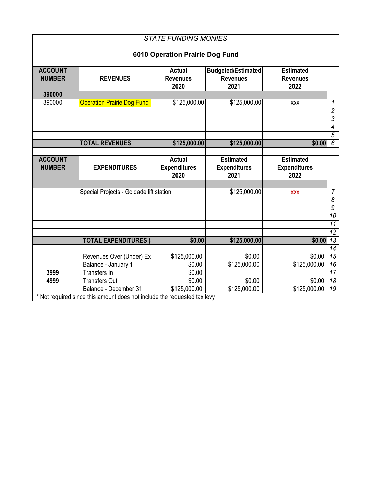| <b>STATE FUNDING MONIES</b>     |                                                                           |                         |                           |                         |                     |  |  |  |
|---------------------------------|---------------------------------------------------------------------------|-------------------------|---------------------------|-------------------------|---------------------|--|--|--|
| 6010 Operation Prairie Dog Fund |                                                                           |                         |                           |                         |                     |  |  |  |
|                                 |                                                                           |                         |                           |                         |                     |  |  |  |
| <b>ACCOUNT</b>                  |                                                                           | <b>Actual</b>           | <b>Budgeted/Estimated</b> | <b>Estimated</b>        |                     |  |  |  |
| <b>NUMBER</b>                   | <b>REVENUES</b>                                                           | <b>Revenues</b><br>2020 | <b>Revenues</b><br>2021   | <b>Revenues</b><br>2022 |                     |  |  |  |
| 390000                          |                                                                           |                         |                           |                         |                     |  |  |  |
| 390000                          | <b>Operation Prairie Dog Fund</b>                                         | \$125,000.00            | \$125,000.00              | <b>XXX</b>              | 1                   |  |  |  |
|                                 |                                                                           |                         |                           |                         | $\overline{2}$      |  |  |  |
|                                 |                                                                           |                         |                           |                         | 3                   |  |  |  |
|                                 |                                                                           |                         |                           |                         | 4                   |  |  |  |
|                                 |                                                                           |                         |                           |                         | $\overline{5}$      |  |  |  |
|                                 | <b>TOTAL REVENUES</b>                                                     | \$125,000.00            | \$125,000.00              | \$0.00                  | $\overline{6}$      |  |  |  |
|                                 |                                                                           |                         |                           |                         |                     |  |  |  |
| <b>ACCOUNT</b>                  |                                                                           | <b>Actual</b>           | <b>Estimated</b>          | <b>Estimated</b>        |                     |  |  |  |
| <b>NUMBER</b>                   | <b>EXPENDITURES</b>                                                       | <b>Expenditures</b>     | <b>Expenditures</b>       | <b>Expenditures</b>     |                     |  |  |  |
|                                 |                                                                           | 2020                    | 2021                      | 2022                    |                     |  |  |  |
|                                 |                                                                           |                         |                           |                         |                     |  |  |  |
|                                 | Special Projects - Goldade lift station                                   |                         | \$125,000.00              | <b>XXX</b>              | 7<br>$\overline{8}$ |  |  |  |
|                                 |                                                                           |                         |                           |                         | $\overline{9}$      |  |  |  |
|                                 |                                                                           |                         |                           |                         | 10                  |  |  |  |
|                                 |                                                                           |                         |                           |                         | $\overline{11}$     |  |  |  |
|                                 |                                                                           |                         |                           |                         | $\overline{12}$     |  |  |  |
|                                 | <b>TOTAL EXPENDITURES (</b>                                               | \$0.00                  | \$125,000.00              | \$0.00                  | 13                  |  |  |  |
|                                 |                                                                           |                         |                           |                         | $\overline{14}$     |  |  |  |
|                                 | Revenues Over (Under) Ex                                                  | \$125,000.00            | \$0.00                    | \$0.00                  | 15                  |  |  |  |
|                                 | Balance - January 1                                                       | \$0.00                  | \$125,000.00              | \$125,000.00            | 16                  |  |  |  |
| 3999                            | <b>Transfers In</b>                                                       | \$0.00                  |                           |                         | $\overline{17}$     |  |  |  |
| 4999                            | <b>Transfers Out</b>                                                      | \$0.00                  | \$0.00                    | \$0.00                  | 18                  |  |  |  |
|                                 | Balance - December 31                                                     | \$125,000.00            | \$125,000.00              | \$125,000.00            | 19                  |  |  |  |
|                                 | * Not required since this amount does not include the requested tax levy. |                         |                           |                         |                     |  |  |  |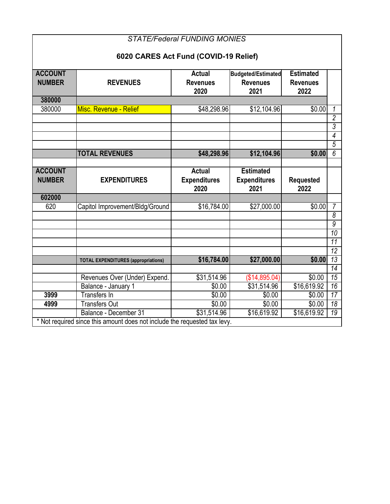| <b>STATE/Federal FUNDING MONIES</b>   |                                                                                                    |                                              |                                                      |                                             |                 |  |  |  |
|---------------------------------------|----------------------------------------------------------------------------------------------------|----------------------------------------------|------------------------------------------------------|---------------------------------------------|-----------------|--|--|--|
| 6020 CARES Act Fund (COVID-19 Relief) |                                                                                                    |                                              |                                                      |                                             |                 |  |  |  |
| <b>ACCOUNT</b><br><b>NUMBER</b>       | <b>REVENUES</b>                                                                                    | <b>Actual</b><br><b>Revenues</b><br>2020     | <b>Budgeted/Estimated</b><br><b>Revenues</b><br>2021 | <b>Estimated</b><br><b>Revenues</b><br>2022 |                 |  |  |  |
| 380000                                |                                                                                                    |                                              |                                                      |                                             |                 |  |  |  |
| 380000                                | Misc. Revenue - Relief                                                                             | \$48,298.96                                  | \$12,104.96                                          | \$0.00                                      | 1               |  |  |  |
|                                       |                                                                                                    |                                              |                                                      |                                             | $\overline{2}$  |  |  |  |
|                                       |                                                                                                    |                                              |                                                      |                                             | $\overline{3}$  |  |  |  |
|                                       |                                                                                                    |                                              |                                                      |                                             | $\overline{4}$  |  |  |  |
|                                       |                                                                                                    |                                              |                                                      |                                             | $\overline{5}$  |  |  |  |
|                                       | <b>TOTAL REVENUES</b>                                                                              | \$48,298.96                                  | \$12,104.96                                          | \$0.00                                      | $\overline{6}$  |  |  |  |
|                                       |                                                                                                    |                                              |                                                      |                                             |                 |  |  |  |
| <b>ACCOUNT</b><br><b>NUMBER</b>       | <b>EXPENDITURES</b>                                                                                | <b>Actual</b><br><b>Expenditures</b><br>2020 | <b>Estimated</b><br><b>Expenditures</b><br>2021      | <b>Requested</b><br>2022                    |                 |  |  |  |
|                                       |                                                                                                    |                                              |                                                      |                                             |                 |  |  |  |
| 602000                                |                                                                                                    |                                              |                                                      |                                             |                 |  |  |  |
| 620                                   | Capitol Improvement/Bldg/Ground                                                                    | \$16,784.00                                  | \$27,000.00                                          | \$0.00                                      | $\overline{7}$  |  |  |  |
|                                       |                                                                                                    |                                              |                                                      |                                             | $\overline{8}$  |  |  |  |
|                                       |                                                                                                    |                                              |                                                      |                                             | $\overline{9}$  |  |  |  |
|                                       |                                                                                                    |                                              |                                                      |                                             | $\overline{10}$ |  |  |  |
|                                       |                                                                                                    |                                              |                                                      |                                             | 11              |  |  |  |
|                                       |                                                                                                    |                                              |                                                      |                                             | $\overline{12}$ |  |  |  |
|                                       | <b>TOTAL EXPENDITURES (appropriations)</b>                                                         | \$16,784.00                                  | \$27,000.00                                          | \$0.00                                      | 13              |  |  |  |
|                                       |                                                                                                    |                                              |                                                      |                                             | 14              |  |  |  |
|                                       | Revenues Over (Under) Expend.                                                                      | \$31,514.96                                  | (\$14,895.04)                                        | \$0.00                                      | 15              |  |  |  |
|                                       | Balance - January 1                                                                                | \$0.00                                       | \$31,514.96                                          | \$16,619.92                                 | $\overline{16}$ |  |  |  |
| 3999                                  | <b>Transfers In</b>                                                                                | \$0.00                                       | \$0.00                                               | \$0.00                                      | 17              |  |  |  |
| 4999                                  | <b>Transfers Out</b>                                                                               | \$0.00                                       | \$0.00                                               | \$0.00                                      | $\overline{18}$ |  |  |  |
|                                       | Balance - December 31<br>* Not required since this amount does not include the requested tax levy. | \$31,514.96                                  | \$16,619.92                                          | \$16,619.92                                 | $\overline{19}$ |  |  |  |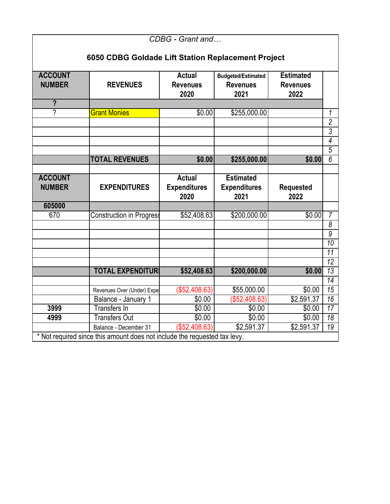| CDBG - Grant and                                   |                                                                                                                                                                    |                                              |                                                 |                          |                 |  |  |  |  |
|----------------------------------------------------|--------------------------------------------------------------------------------------------------------------------------------------------------------------------|----------------------------------------------|-------------------------------------------------|--------------------------|-----------------|--|--|--|--|
| 6050 CDBG Goldade Lift Station Replacement Project |                                                                                                                                                                    |                                              |                                                 |                          |                 |  |  |  |  |
|                                                    |                                                                                                                                                                    |                                              |                                                 |                          |                 |  |  |  |  |
| <b>ACCOUNT</b><br><b>NUMBER</b>                    | <b>Actual</b><br><b>Estimated</b><br><b>Budgeted/Estimated</b><br><b>REVENUES</b><br><b>Revenues</b><br><b>Revenues</b><br><b>Revenues</b><br>2022<br>2020<br>2021 |                                              |                                                 |                          |                 |  |  |  |  |
| $\overline{?}$                                     |                                                                                                                                                                    |                                              |                                                 |                          |                 |  |  |  |  |
| 7                                                  | <b>Grant Monies</b>                                                                                                                                                | \$0.00                                       | \$255,000.00                                    |                          | 1               |  |  |  |  |
|                                                    |                                                                                                                                                                    |                                              |                                                 |                          | $\overline{2}$  |  |  |  |  |
|                                                    |                                                                                                                                                                    |                                              |                                                 |                          | $\overline{3}$  |  |  |  |  |
|                                                    |                                                                                                                                                                    |                                              |                                                 |                          | $\overline{4}$  |  |  |  |  |
|                                                    |                                                                                                                                                                    |                                              |                                                 |                          | $\overline{5}$  |  |  |  |  |
|                                                    | <b>TOTAL REVENUES</b>                                                                                                                                              | \$0.00                                       | \$255,000.00                                    | \$0.00                   | 6               |  |  |  |  |
|                                                    |                                                                                                                                                                    |                                              |                                                 |                          |                 |  |  |  |  |
| <b>ACCOUNT</b><br><b>NUMBER</b>                    | <b>EXPENDITURES</b>                                                                                                                                                | <b>Actual</b><br><b>Expenditures</b><br>2020 | <b>Estimated</b><br><b>Expenditures</b><br>2021 | <b>Requested</b><br>2022 |                 |  |  |  |  |
| 605000                                             |                                                                                                                                                                    |                                              |                                                 |                          |                 |  |  |  |  |
| 670                                                | <b>Construction in Progress</b>                                                                                                                                    | \$52,408.63                                  | \$200,000.00                                    | \$0.00                   | $\overline{7}$  |  |  |  |  |
|                                                    |                                                                                                                                                                    |                                              |                                                 |                          | 8               |  |  |  |  |
|                                                    |                                                                                                                                                                    |                                              |                                                 |                          | $\overline{9}$  |  |  |  |  |
|                                                    |                                                                                                                                                                    |                                              |                                                 |                          | $\overline{10}$ |  |  |  |  |
|                                                    |                                                                                                                                                                    |                                              |                                                 |                          | 11              |  |  |  |  |
|                                                    |                                                                                                                                                                    |                                              |                                                 |                          | $\overline{12}$ |  |  |  |  |
|                                                    | <b>TOTAL EXPENDITURI</b>                                                                                                                                           | \$52,408.63                                  | \$200,000.00                                    | \$0.00                   | $\overline{13}$ |  |  |  |  |
|                                                    |                                                                                                                                                                    |                                              |                                                 |                          | $\overline{14}$ |  |  |  |  |
|                                                    |                                                                                                                                                                    |                                              |                                                 |                          | 15              |  |  |  |  |
|                                                    | Revenues Over (Under) Expe                                                                                                                                         | (\$52,408.63)                                | $\overline{$}55,000.00$                         | \$0.00                   |                 |  |  |  |  |
|                                                    | Balance - January 1                                                                                                                                                | \$0.00                                       | \$52,408.63                                     | \$2,591.37               | $\overline{16}$ |  |  |  |  |
| 3999                                               | <b>Transfers In</b>                                                                                                                                                | \$0.00                                       | \$0.00                                          | \$0.00                   | $\overline{17}$ |  |  |  |  |
| 4999                                               | <b>Transfers Out</b>                                                                                                                                               | \$0.00                                       | \$0.00                                          | \$0.00                   | $\overline{18}$ |  |  |  |  |
|                                                    | Balance - December 31<br>* Not required since this amount does not include the requested tax levy.                                                                 | (\$52,408.63)                                | \$2,591.37                                      | \$2,591.37               | $\overline{19}$ |  |  |  |  |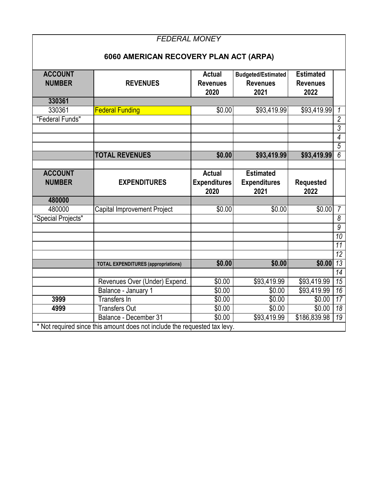|                                 | <b>FEDERAL MONEY</b>                                                                               |                                          |                                                      |                                             |                 |
|---------------------------------|----------------------------------------------------------------------------------------------------|------------------------------------------|------------------------------------------------------|---------------------------------------------|-----------------|
|                                 | 6060 AMERICAN RECOVERY PLAN ACT (ARPA)                                                             |                                          |                                                      |                                             |                 |
| <b>ACCOUNT</b><br><b>NUMBER</b> | <b>REVENUES</b>                                                                                    | <b>Actual</b><br><b>Revenues</b><br>2020 | <b>Budgeted/Estimated</b><br><b>Revenues</b><br>2021 | <b>Estimated</b><br><b>Revenues</b><br>2022 |                 |
| 330361                          |                                                                                                    |                                          |                                                      |                                             |                 |
| 330361                          | <b>Federal Funding</b>                                                                             | \$0.00                                   | \$93,419.99                                          | \$93,419.99                                 | 1               |
| "Federal Funds"                 |                                                                                                    |                                          |                                                      |                                             | $\overline{2}$  |
|                                 |                                                                                                    |                                          |                                                      |                                             | 3               |
|                                 |                                                                                                    |                                          |                                                      |                                             | 4               |
|                                 |                                                                                                    |                                          |                                                      |                                             | $\overline{5}$  |
|                                 | <b>TOTAL REVENUES</b>                                                                              | \$0.00                                   | \$93,419.99                                          | \$93,419.99                                 | $\overline{6}$  |
|                                 |                                                                                                    |                                          |                                                      |                                             |                 |
| <b>ACCOUNT</b><br><b>NUMBER</b> | <b>EXPENDITURES</b>                                                                                | <b>Actual</b><br><b>Expenditures</b>     | <b>Estimated</b><br><b>Expenditures</b>              | <b>Requested</b>                            |                 |
|                                 |                                                                                                    | 2020                                     | 2021                                                 | 2022                                        |                 |
| 480000                          |                                                                                                    |                                          |                                                      |                                             |                 |
| 480000                          | Capital Improvement Project                                                                        | \$0.00                                   | \$0.00                                               | \$0.00                                      | $\overline{7}$  |
| "Special Projects"              |                                                                                                    |                                          |                                                      |                                             | 8               |
|                                 |                                                                                                    |                                          |                                                      |                                             | $\overline{g}$  |
|                                 |                                                                                                    |                                          |                                                      |                                             | $\overline{10}$ |
|                                 |                                                                                                    |                                          |                                                      |                                             | 11              |
|                                 |                                                                                                    |                                          |                                                      |                                             | $\overline{12}$ |
|                                 | <b>TOTAL EXPENDITURES (appropriations)</b>                                                         | \$0.00                                   | \$0.00                                               | \$0.00                                      | $\overline{13}$ |
|                                 |                                                                                                    |                                          |                                                      |                                             | $\overline{14}$ |
|                                 | Revenues Over (Under) Expend.                                                                      | $\sqrt{$0.00}$                           | \$93,419.99                                          | \$93,419.99                                 | $\overline{15}$ |
|                                 | Balance - January 1                                                                                | \$0.00                                   | \$0.00                                               | \$93,419.99                                 | 16              |
| 3999                            | <b>Transfers In</b>                                                                                | \$0.00                                   | \$0.00                                               | \$0.00                                      | $\overline{17}$ |
| 4999                            | <b>Transfers Out</b>                                                                               | \$0.00                                   | \$0.00                                               | \$0.00                                      | $\overline{18}$ |
|                                 | Balance - December 31<br>* Not required since this amount does not include the requested tax levy. | \$0.00                                   | \$93,419.99                                          | \$186,839.98                                | $\overline{19}$ |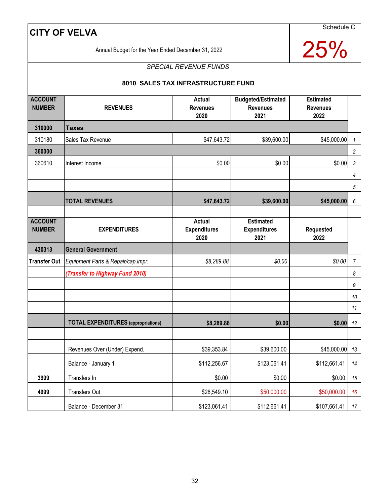Schedule C

25%

Annual Budget for the Year Ended December 31, 2022

### *SPECIAL REVENUE FUNDS*

#### **8010 SALES TAX INFRASTRUCTURE FUND**

| <b>ACCOUNT</b><br><b>NUMBER</b> | <b>REVENUES</b>                            | <b>Actual</b><br><b>Revenues</b><br>2020 | <b>Budgeted/Estimated</b><br><b>Revenues</b><br>2021 | <b>Estimated</b><br><b>Revenues</b><br>2022 |                  |
|---------------------------------|--------------------------------------------|------------------------------------------|------------------------------------------------------|---------------------------------------------|------------------|
| 310000                          | <b>Taxes</b>                               |                                          |                                                      |                                             |                  |
| 310180                          | Sales Tax Revenue                          | \$47,643.72                              | \$39,600.00                                          | \$45,000.00                                 | $\mathbf{1}$     |
| 360000                          |                                            |                                          |                                                      |                                             | $\overline{c}$   |
| 360610                          | Interest Income                            | \$0.00                                   | \$0.00                                               | \$0.00                                      | $\sqrt{3}$       |
|                                 |                                            |                                          |                                                      |                                             | 4                |
|                                 |                                            |                                          |                                                      |                                             | $\overline{5}$   |
|                                 | <b>TOTAL REVENUES</b>                      | \$47,643.72                              | \$39,600.00                                          | \$45,000.00                                 | 6                |
|                                 |                                            |                                          |                                                      |                                             |                  |
| <b>ACCOUNT</b><br><b>NUMBER</b> | <b>EXPENDITURES</b>                        | Actual<br><b>Expenditures</b><br>2020    | <b>Estimated</b><br><b>Expenditures</b><br>2021      | Requested<br>2022                           |                  |
| 430313                          | <b>General Government</b>                  |                                          |                                                      |                                             |                  |
| <b>Transfer Out</b>             | Equipment Parts & Repair/cap.impr.         | \$8,289.88                               | \$0.00                                               | \$0.00                                      | $\boldsymbol{7}$ |
|                                 | (Transfer to Highway Fund 2010)            |                                          |                                                      |                                             | 8                |
|                                 |                                            |                                          |                                                      |                                             | 9                |
|                                 |                                            |                                          |                                                      |                                             | $10$             |
|                                 |                                            |                                          |                                                      |                                             | 11               |
|                                 | <b>TOTAL EXPENDITURES</b> (appropriations) | \$8,289.88                               | \$0.00                                               | \$0.00                                      | 12               |
|                                 |                                            |                                          |                                                      |                                             |                  |
|                                 | Revenues Over (Under) Expend.              | \$39,353.84                              | \$39,600.00                                          | \$45,000.00                                 | 13               |
|                                 | Balance - January 1                        | \$112,256.67                             | \$123,061.41                                         | \$112,661.41                                | 14               |
| 3999                            | Transfers In                               | \$0.00                                   | \$0.00                                               | \$0.00                                      | 15               |
| 4999                            | <b>Transfers Out</b>                       | \$28,549.10                              | \$50,000.00                                          | \$50,000.00                                 | 16               |
|                                 | Balance - December 31                      | \$123,061.41                             | \$112,661.41                                         | \$107,661.41                                | 17               |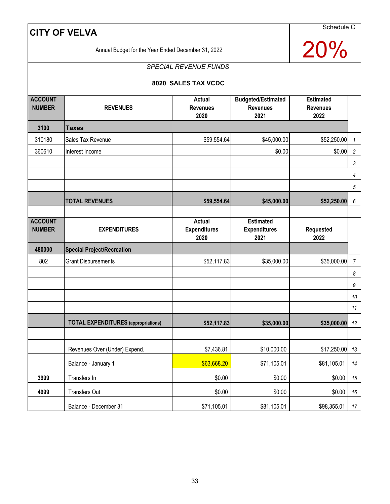Schedule C

20%

Annual Budget for the Year Ended December 31, 2022

# *SPECIAL REVENUE FUNDS*

#### **8020 SALES TAX VCDC**

| <b>ACCOUNT</b><br><b>NUMBER</b> | <b>REVENUES</b>                            | Actual<br><b>Revenues</b>     | <b>Budgeted/Estimated</b><br><b>Revenues</b> | <b>Estimated</b><br><b>Revenues</b> |                  |
|---------------------------------|--------------------------------------------|-------------------------------|----------------------------------------------|-------------------------------------|------------------|
|                                 |                                            | 2020                          | 2021                                         | 2022                                |                  |
| 3100                            | <b>Taxes</b>                               |                               |                                              |                                     |                  |
| 310180                          | Sales Tax Revenue                          | \$59,554.64                   | \$45,000.00                                  | \$52,250.00                         | $\mathcal I$     |
| 360610                          | Interest Income                            |                               | \$0.00                                       | \$0.00                              | $\sqrt{2}$       |
|                                 |                                            |                               |                                              |                                     | 3                |
|                                 |                                            |                               |                                              |                                     | 4                |
|                                 |                                            |                               |                                              |                                     | $\overline{5}$   |
|                                 | <b>TOTAL REVENUES</b>                      | \$59,554.64                   | \$45,000.00                                  | \$52,250.00                         | 6                |
|                                 |                                            |                               |                                              |                                     |                  |
| <b>ACCOUNT</b><br><b>NUMBER</b> | <b>EXPENDITURES</b>                        | Actual<br><b>Expenditures</b> | <b>Estimated</b><br><b>Expenditures</b>      | Requested                           |                  |
|                                 |                                            | 2020                          | 2021                                         | 2022                                |                  |
| 480000                          | <b>Special Project/Recreation</b>          |                               |                                              |                                     |                  |
| 802                             | <b>Grant Disbursements</b>                 | \$52,117.83                   | \$35,000.00                                  | \$35,000.00                         | $\overline{7}$   |
|                                 |                                            |                               |                                              |                                     | 8                |
|                                 |                                            |                               |                                              |                                     | $\boldsymbol{9}$ |
|                                 |                                            |                               |                                              |                                     | 10               |
|                                 |                                            |                               |                                              |                                     | 11               |
|                                 | <b>TOTAL EXPENDITURES</b> (appropriations) | \$52,117.83                   | \$35,000.00                                  | \$35,000.00                         | 12               |
|                                 |                                            |                               |                                              |                                     |                  |
|                                 | Revenues Over (Under) Expend.              | \$7,436.81                    | \$10,000.00                                  | \$17,250.00                         | 13               |
|                                 | Balance - January 1                        | \$63,668.20                   | \$71,105.01                                  | \$81,105.01                         | 14               |
| 3999                            | Transfers In                               | \$0.00                        | \$0.00                                       | \$0.00                              | 15               |
| 4999                            | <b>Transfers Out</b>                       | \$0.00                        | \$0.00                                       | \$0.00                              | 16               |
|                                 | Balance - December 31                      | \$71,105.01                   | \$81,105.01                                  | \$98,355.01                         | 17               |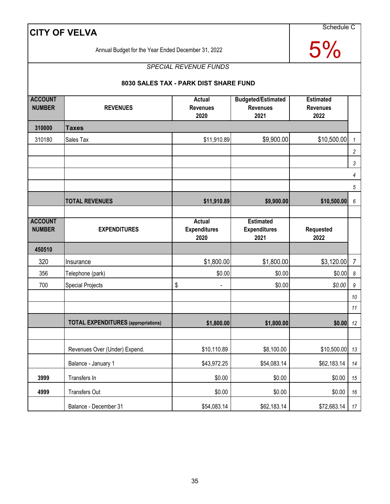Schedule C

5%

Annual Budget for the Year Ended December 31, 2022

# *SPECIAL REVENUE FUNDS*

#### **8030 SALES TAX - PARK DIST SHARE FUND**

| <b>ACCOUNT</b><br><b>NUMBER</b> | <b>REVENUES</b>                            | Actual<br><b>Revenues</b><br>2020            | <b>Budgeted/Estimated</b><br><b>Revenues</b><br>2021 | <b>Estimated</b><br><b>Revenues</b><br>2022 |                       |
|---------------------------------|--------------------------------------------|----------------------------------------------|------------------------------------------------------|---------------------------------------------|-----------------------|
| 310000                          | <b>Taxes</b>                               |                                              |                                                      |                                             |                       |
| 310180                          | Sales Tax                                  | \$11,910.89                                  | \$9,900.00                                           | \$10,500.00                                 | $\mathbf{1}$          |
|                                 |                                            |                                              |                                                      |                                             | $\overline{c}$        |
|                                 |                                            |                                              |                                                      |                                             | 3                     |
|                                 |                                            |                                              |                                                      |                                             | 4                     |
|                                 |                                            |                                              |                                                      |                                             | $\overline{5}$        |
|                                 | <b>TOTAL REVENUES</b>                      | \$11,910.89                                  | \$9,900.00                                           | \$10,500.00                                 | 6                     |
|                                 |                                            |                                              |                                                      |                                             |                       |
| <b>ACCOUNT</b><br><b>NUMBER</b> | <b>EXPENDITURES</b>                        | <b>Actual</b><br><b>Expenditures</b><br>2020 | <b>Estimated</b><br><b>Expenditures</b><br>2021      | Requested<br>2022                           |                       |
| 450510                          |                                            |                                              |                                                      |                                             |                       |
| 320                             | Insurance                                  | \$1,800.00                                   | \$1,800.00                                           | \$3,120.00                                  | $\overline{7}$        |
| 356                             | Telephone (park)                           | \$0.00                                       | \$0.00                                               | \$0.00                                      | $\boldsymbol{\delta}$ |
| 700                             | <b>Special Projects</b>                    | \$<br>$\overline{\phantom{a}}$               | \$0.00                                               | \$0.00                                      | 9                     |
|                                 |                                            |                                              |                                                      |                                             | $10\,$                |
|                                 |                                            |                                              |                                                      |                                             | 11                    |
|                                 | <b>TOTAL EXPENDITURES</b> (appropriations) | \$1,800.00                                   | \$1,800.00                                           | \$0.00                                      | 12                    |
|                                 |                                            |                                              |                                                      |                                             |                       |
|                                 | Revenues Over (Under) Expend.              | \$10,110.89                                  | \$8,100.00                                           | \$10,500.00                                 | 13                    |
|                                 | Balance - January 1                        | \$43,972.25                                  | \$54,083.14                                          | \$62,183.14                                 | 14                    |
| 3999                            | Transfers In                               | \$0.00                                       | \$0.00                                               | \$0.00                                      | 15                    |
| 4999                            | Transfers Out                              | \$0.00                                       | \$0.00                                               | \$0.00                                      | 16                    |
|                                 | Balance - December 31                      | \$54,083.14                                  | \$62,183.14                                          | \$72,683.14                                 | 17                    |